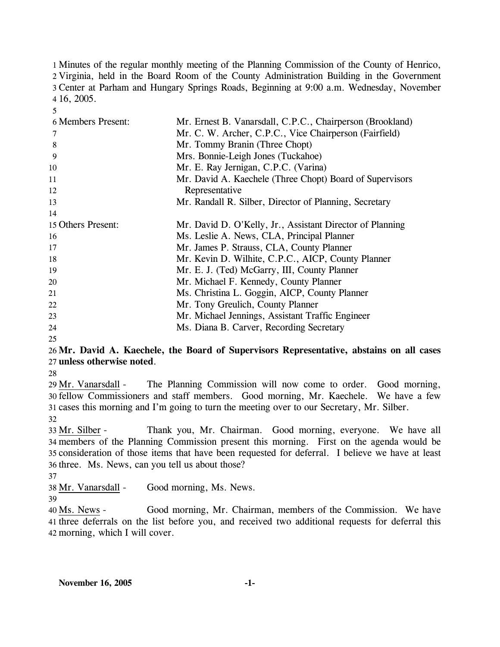Minutes of the regular monthly meeting of the Planning Commission of the County of Henrico, Virginia, held in the Board Room of the County Administration Building in the Government Center at Parham and Hungary Springs Roads, Beginning at 9:00 a.m. Wednesday, November 16, 2005.

| <b>6 Members Present:</b> | Mr. Ernest B. Vanarsdall, C.P.C., Chairperson (Brookland) |
|---------------------------|-----------------------------------------------------------|
| 7                         | Mr. C. W. Archer, C.P.C., Vice Chairperson (Fairfield)    |
| 8                         | Mr. Tommy Branin (Three Chopt)                            |
| 9                         | Mrs. Bonnie-Leigh Jones (Tuckahoe)                        |
| 10                        | Mr. E. Ray Jernigan, C.P.C. (Varina)                      |
| 11                        | Mr. David A. Kaechele (Three Chopt) Board of Supervisors  |
| 12                        | Representative                                            |
| 13                        | Mr. Randall R. Silber, Director of Planning, Secretary    |
| 14                        |                                                           |
| 15 Others Present:        | Mr. David D. O'Kelly, Jr., Assistant Director of Planning |
| 16                        | Ms. Leslie A. News, CLA, Principal Planner                |
| 17                        | Mr. James P. Strauss, CLA, County Planner                 |
| 18                        | Mr. Kevin D. Wilhite, C.P.C., AICP, County Planner        |
| 19                        | Mr. E. J. (Ted) McGarry, III, County Planner              |
| 20                        | Mr. Michael F. Kennedy, County Planner                    |
| 21                        | Ms. Christina L. Goggin, AICP, County Planner             |
| 22                        | Mr. Tony Greulich, County Planner                         |
| 23                        | Mr. Michael Jennings, Assistant Traffic Engineer          |
| 24                        | Ms. Diana B. Carver, Recording Secretary                  |

25

5

# 26 **Mr. David A. Kaechele, the Board of Supervisors Representative, abstains on all cases**  27 **unless otherwise noted**.

28

The Planning Commission will now come to order. Good morning, fellow Commissioners and staff members. Good morning, Mr. Kaechele. We have a few 30 31 cases this morning and I'm going to turn the meeting over to our Secretary, Mr. Silber. 29 Mr. Vanarsdall -

32

Thank you, Mr. Chairman. Good morning, everyone. We have all members of the Planning Commission present this morning. First on the agenda would be 34 35 consideration of those items that have been requested for deferral. I believe we have at least 36 three. Ms. News, can you tell us about those? 33 Mr. Silber -

37

38 Mr. Vanarsdall - Good morning, Ms. News.

39

Good morning, Mr. Chairman, members of the Commission. We have 41 three deferrals on the list before you, and received two additional requests for deferral this 42 morning, which I will cover. 40 Ms. News -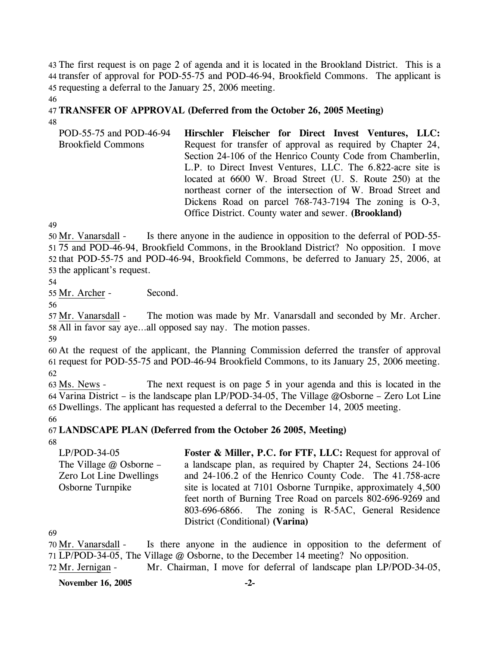43 The first request is on page 2 of agenda and it is located in the Brookland District. This is a 44 transfer of approval for POD-55-75 and POD-46-94, Brookfield Commons. The applicant is 45 requesting a deferral to the January 25, 2006 meeting.

# 47 **TRANSFER OF APPROVAL (Deferred from the October 26, 2005 Meeting)**  48

POD-55-75 and POD-46-94 Brookfield Commons **Hirschler Fleischer for Direct Invest Ventures, LLC:**  Request for transfer of approval as required by Chapter 24, Section 24-106 of the Henrico County Code from Chamberlin, L.P. to Direct Invest Ventures, LLC. The 6.822-acre site is located at 6600 W. Broad Street (U. S. Route 250) at the northeast corner of the intersection of W. Broad Street and Dickens Road on parcel 768-743-7194 The zoning is O-3, Office District. County water and sewer. **(Brookland)** 

49

46

Is there anyone in the audience in opposition to the deferral of POD-55-75 and POD-46-94, Brookfield Commons, in the Brookland District? No opposition. I move 51 52 that POD-55-75 and POD-46-94, Brookfield Commons, be deferred to January 25, 2006, at 53 the applicant's request. 50 Mr. Vanarsdall -

54

55 Mr. Archer - Second.

56

The motion was made by Mr. Vanarsdall and seconded by Mr. Archer. 58 All in favor say aye...all opposed say nay. The motion passes. 57 Mr. Vanarsdall -

59

60 At the request of the applicant, the Planning Commission deferred the transfer of approval 61 request for POD-55-75 and POD-46-94 Brookfield Commons, to its January 25, 2006 meeting. 62

The next request is on page 5 in your agenda and this is located in the 64 Varina District – is the landscape plan LP/POD-34-05, The Village @Osborne – Zero Lot Line 65 Dwellings. The applicant has requested a deferral to the December 14, 2005 meeting. 63 Ms. News -

66

67 **LANDSCAPE PLAN (Deferred from the October 26 2005, Meeting)** 

68

LP/POD-34-05 The Village @ Osborne – Zero Lot Line Dwellings Osborne Turnpike **Foster & Miller, P.C. for FTF, LLC:** Request for approval of a landscape plan, as required by Chapter 24, Sections 24-106 and 24-106.2 of the Henrico County Code. The 41.758-acre site is located at 7101 Osborne Turnpike, approximately 4,500 feet north of Burning Tree Road on parcels 802-696-9269 and 803-696-6866. The zoning is R-5AC, General Residence District (Conditional) **(Varina)** 

69

72 Mr. Jernigan - Mr. Chairman, I move for deferral of landscape plan LP/POD-34-05,

Is there anyone in the audience in opposition to the deferment of LP/POD-34-05, The Village @ Osborne, to the December 14 meeting? No opposition. 71 70 Mr. Vanarsdall -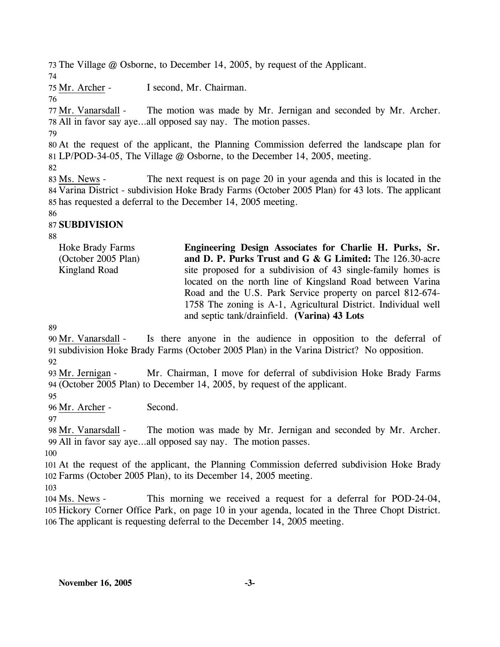73 The Village @ Osborne, to December 14, 2005, by request of the Applicant.

74

75 Mr. Archer - I second, Mr. Chairman.

## 76

The motion was made by Mr. Jernigan and seconded by Mr. Archer. All in favor say aye…all opposed say nay. The motion passes. 78 77 Mr. Vanarsdall -

79

80 At the request of the applicant, the Planning Commission deferred the landscape plan for 81 LP/POD-34-05, The Village @ Osborne, to the December 14, 2005, meeting.

82

The next request is on page 20 in your agenda and this is located in the 84 Varina District - subdivision Hoke Brady Farms (October 2005 Plan) for 43 lots. The applicant 85 has requested a deferral to the December 14, 2005 meeting. 83 Ms. News -

86

# 87 **SUBDIVISION**

88

Hoke Brady Farms (October 2005 Plan) Kingland Road **Engineering Design Associates for Charlie H. Purks, Sr. and D. P. Purks Trust and G & G Limited:** The 126.30-acre site proposed for a subdivision of 43 single-family homes is located on the north line of Kingsland Road between Varina Road and the U.S. Park Service property on parcel 812-674- 1758 The zoning is A-1, Agricultural District. Individual well and septic tank/drainfield. **(Varina) 43 Lots** 

89

Is there anyone in the audience in opposition to the deferral of 91 subdivision Hoke Brady Farms (October 2005 Plan) in the Varina District? No opposition. 90 Mr. Vanarsdall -

92

Mr. Chairman, I move for deferral of subdivision Hoke Brady Farms (October 2005 Plan) to December 14, 2005, by request of the applicant. 94 93 Mr. Jernigan -

95

96 Mr. Archer - Second.

97

The motion was made by Mr. Jernigan and seconded by Mr. Archer. All in favor say aye…all opposed say nay. The motion passes. 99 98 Mr. Vanarsdall -

100

101 At the request of the applicant, the Planning Commission deferred subdivision Hoke Brady 102 Farms (October 2005 Plan), to its December 14, 2005 meeting.

103

This morning we received a request for a deferral for POD-24-04, 105 Hickory Corner Office Park, on page 10 in your agenda, located in the Three Chopt District. 106 The applicant is requesting deferral to the December 14, 2005 meeting. 104 Ms. News -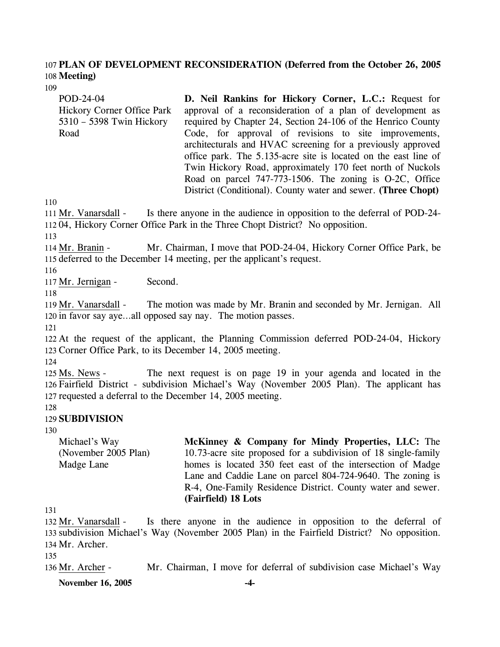## 107 **PLAN OF DEVELOPMENT RECONSIDERATION (Deferred from the October 26, 2005**  108 **Meeting)**

109

POD-24-04 Hickory Corner Office Park 5310 – 5398 Twin Hickory Road

**D. Neil Rankins for Hickory Corner, L.C.:** Request for approval of a reconsideration of a plan of development as required by Chapter 24, Section 24-106 of the Henrico County Code, for approval of revisions to site improvements, architecturals and HVAC screening for a previously approved office park. The 5.135-acre site is located on the east line of Twin Hickory Road, approximately 170 feet north of Nuckols Road on parcel 747-773-1506. The zoning is O-2C, Office District (Conditional). County water and sewer. **(Three Chopt)** 

110

Is there anyone in the audience in opposition to the deferral of POD-24-11204, Hickory Corner Office Park in the Three Chopt District? No opposition. 111 Mr. Vanarsdall -

113

Mr. Chairman, I move that POD-24-04, Hickory Corner Office Park, be 115 deferred to the December 14 meeting, per the applicant's request. 114 Mr. Branin -

116

117 Mr. Jernigan - Second.

118

The motion was made by Mr. Branin and seconded by Mr. Jernigan. All 120 in favor say aye...all opposed say nay. The motion passes. 119 Mr. Vanarsdall -

121

122 At the request of the applicant, the Planning Commission deferred POD-24-04, Hickory 123 Corner Office Park, to its December 14, 2005 meeting.

124

The next request is on page 19 in your agenda and located in the 126 Fairfield District - subdivision Michael's Way (November 2005 Plan). The applicant has 127 requested a deferral to the December 14, 2005 meeting. 125 Ms. News -

128

## 129 **SUBDIVISION**

130

Michael's Way (November 2005 Plan) Madge Lane **McKinney & Company for Mindy Properties, LLC:** The 10.73-acre site proposed for a subdivision of 18 single-family homes is located 350 feet east of the intersection of Madge Lane and Caddie Lane on parcel 804-724-9640. The zoning is R-4, One-Family Residence District. County water and sewer. **(Fairfield) 18 Lots** 

131

Is there anyone in the audience in opposition to the deferral of 133 subdivision Michael's Way (November 2005 Plan) in the Fairfield District? No opposition. 134 Mr. Archer. 132 Mr. Vanarsdall -

135

136 Mr. Archer - Mr. Chairman, I move for deferral of subdivision case Michael's Way

**November 16, 2005 -4-**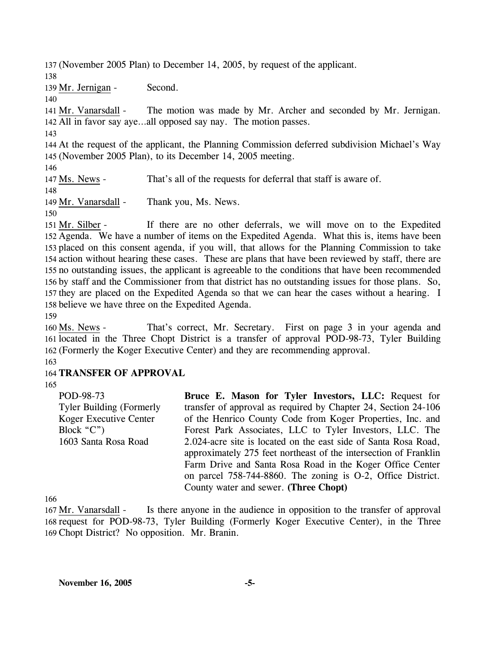137 (November 2005 Plan) to December 14, 2005, by request of the applicant. 138 139 Mr. Jernigan - Second. 140 The motion was made by Mr. Archer and seconded by Mr. Jernigan. All in favor say aye…all opposed say nay. The motion passes. 142 141 Mr. Vanarsdall -143 144 At the request of the applicant, the Planning Commission deferred subdivision Michael's Way 145 (November 2005 Plan), to its December 14, 2005 meeting. 146 147 Ms. News - That's all of the requests for deferral that staff is aware of. 148 149 Mr. Vanarsdall - Thank you, Ms. News. 150 If there are no other deferrals, we will move on to the Expedited 151 Mr. Silber -

152 Agenda. We have a number of items on the Expedited Agenda. What this is, items have been 153 placed on this consent agenda, if you will, that allows for the Planning Commission to take 154 action without hearing these cases. These are plans that have been reviewed by staff, there are 155 no outstanding issues, the applicant is agreeable to the conditions that have been recommended 156 by staff and the Commissioner from that district has no outstanding issues for those plans. So, 157 they are placed on the Expedited Agenda so that we can hear the cases without a hearing. I 158 believe we have three on the Expedited Agenda.

159

That's correct, Mr. Secretary. First on page 3 in your agenda and 161 located in the Three Chopt District is a transfer of approval POD-98-73, Tyler Building (Formerly the Koger Executive Center) and they are recommending approval. 162 160 Ms. News -

163

## 164 **TRANSFER OF APPROVAL**

165

POD-98-73 Tyler Building (Formerly Koger Executive Center Block "C") 1603 Santa Rosa Road

**Bruce E. Mason for Tyler Investors, LLC:** Request for transfer of approval as required by Chapter 24, Section 24-106 of the Henrico County Code from Koger Properties, Inc. and Forest Park Associates, LLC to Tyler Investors, LLC. The 2.024-acre site is located on the east side of Santa Rosa Road, approximately 275 feet northeast of the intersection of Franklin Farm Drive and Santa Rosa Road in the Koger Office Center on parcel 758-744-8860. The zoning is O-2, Office District. County water and sewer. **(Three Chopt)** 

166

Is there anyone in the audience in opposition to the transfer of approval 168 request for POD-98-73, Tyler Building (Formerly Koger Executive Center), in the Three 169 Chopt District? No opposition. Mr. Branin. 167 Mr. Vanarsdall -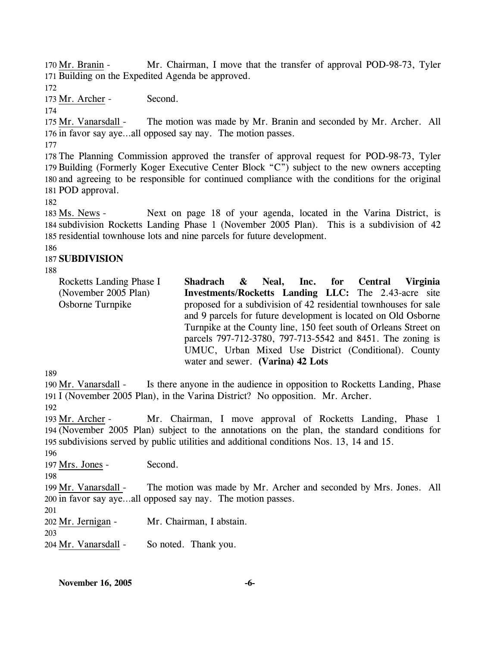Mr. Chairman, I move that the transfer of approval POD-98-73, Tyler 171 Building on the Expedited Agenda be approved. 170 Mr. Branin -

172

173 Mr. Archer - Second.

174

The motion was made by Mr. Branin and seconded by Mr. Archer. All 176 in favor say aye...all opposed say nay. The motion passes. 175 Mr. Vanarsdall -

177

 The Planning Commission approved the transfer of approval request for POD-98-73, Tyler Building (Formerly Koger Executive Center Block "C") subject to the new owners accepting and agreeing to be responsible for continued compliance with the conditions for the original POD approval.

182

Next on page 18 of your agenda, located in the Varina District, is 184 subdivision Rocketts Landing Phase 1 (November 2005 Plan). This is a subdivision of 42 185 residential townhouse lots and nine parcels for future development. 183 Ms. News -

186

# 187 **SUBDIVISION**

188

| Rocketts Landing Phase I<br>(November 2005 Plan) | Shadrach & Neal, Inc. for Central Virginia<br>Investments/Rocketts Landing LLC: The 2.43-acre site                                                                                                                          |  |  |  |
|--------------------------------------------------|-----------------------------------------------------------------------------------------------------------------------------------------------------------------------------------------------------------------------------|--|--|--|
| Osborne Turnpike                                 | proposed for a subdivision of 42 residential townhouses for sale<br>and 9 parcels for future development is located on Old Osborne                                                                                          |  |  |  |
|                                                  | Turnpike at the County line, 150 feet south of Orleans Street on<br>parcels 797-712-3780, 797-713-5542 and 8451. The zoning is<br>UMUC, Urban Mixed Use District (Conditional). County<br>water and sewer. (Varina) 42 Lots |  |  |  |

189

Is there anyone in the audience in opposition to Rocketts Landing, Phase 191 I (November 2005 Plan), in the Varina District? No opposition. Mr. Archer. 190 Mr. Vanarsdall -192

Mr. Chairman, I move approval of Rocketts Landing, Phase 1 (November 2005 Plan) subject to the annotations on the plan, the standard conditions for 194 195 subdivisions served by public utilities and additional conditions Nos. 13, 14 and 15. 193 Mr. Archer -

196

197 Mrs. Jones - Second.

198

The motion was made by Mr. Archer and seconded by Mrs. Jones. All 200 in favor say aye...all opposed say nay. The motion passes. 199 Mr. Vanarsdall -

202 Mr. Jernigan - Mr. Chairman, I abstain.

203

201

204 Mr. Vanarsdall - So noted. Thank you.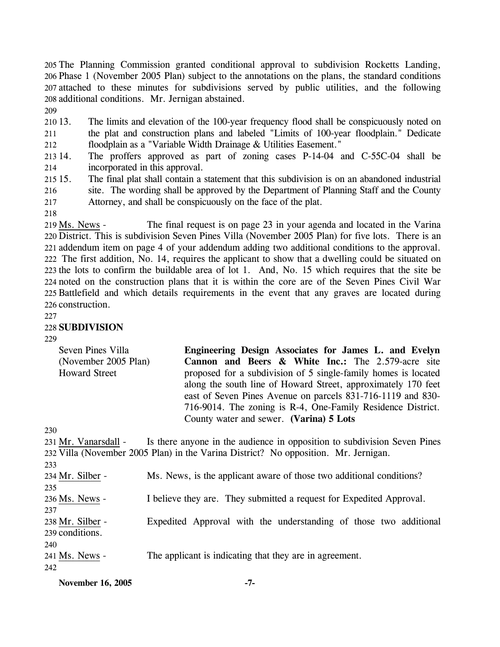The Planning Commission granted conditional approval to subdivision Rocketts Landing, Phase 1 (November 2005 Plan) subject to the annotations on the plans, the standard conditions attached to these minutes for subdivisions served by public utilities, and the following additional conditions. Mr. Jernigan abstained.

209

210 13. 211 212 The limits and elevation of the 100-year frequency flood shall be conspicuously noted on the plat and construction plans and labeled "Limits of 100-year floodplain." Dedicate floodplain as a "Variable Width Drainage & Utilities Easement."

213 14. 214 The proffers approved as part of zoning cases P-14-04 and C-55C-04 shall be incorporated in this approval.

- 215 15. 216 217 15. The final plat shall contain a statement that this subdivision is on an abandoned industrial site. The wording shall be approved by the Department of Planning Staff and the County Attorney, and shall be conspicuously on the face of the plat.
- 218

The final request is on page 23 in your agenda and located in the Varina 220 District. This is subdivision Seven Pines Villa (November 2005 Plan) for five lots. There is an 221 addendum item on page 4 of your addendum adding two additional conditions to the approval. 222 The first addition, No. 14, requires the applicant to show that a dwelling could be situated on 223 the lots to confirm the buildable area of lot 1. And, No. 15 which requires that the site be noted on the construction plans that it is within the core are of the Seven Pines Civil War 224 225 Battlefield and which details requirements in the event that any graves are located during 226 construction. 219 Ms. News -

### 227

## 228 **SUBDIVISION**

229

| Seven Pines Villa    | Engineering Design Associates for James L. and Evelyn          |
|----------------------|----------------------------------------------------------------|
| (November 2005 Plan) | Cannon and Beers & White Inc.: The 2.579-acre site             |
| <b>Howard Street</b> | proposed for a subdivision of 5 single-family homes is located |
|                      | along the south line of Howard Street, approximately 170 feet  |
|                      | east of Seven Pines Avenue on parcels 831-716-1119 and 830-    |
|                      | 716-9014. The zoning is R-4, One-Family Residence District.    |
|                      | County water and sewer. (Varina) 5 Lots                        |

 $230$ 

| 231 Mr. Vanarsdall - | Is there anyone in the audience in opposition to subdivision Seven Pines            |
|----------------------|-------------------------------------------------------------------------------------|
|                      | 232 Villa (November 2005 Plan) in the Varina District? No opposition. Mr. Jernigan. |
| 233                  |                                                                                     |
| 234 Mr. Silber -     | Ms. News, is the applicant aware of those two additional conditions?                |
| 235                  |                                                                                     |
| 236 Ms. News -       | I believe they are. They submitted a request for Expedited Approval.                |
| 237                  |                                                                                     |
| 238 Mr. Silber -     | Expedited Approval with the understanding of those two additional                   |
| 239 conditions.      |                                                                                     |
| 240                  |                                                                                     |
| 241 Ms. News -       | The applicant is indicating that they are in agreement.                             |
| 242                  |                                                                                     |

**November 16, 2005 -7-**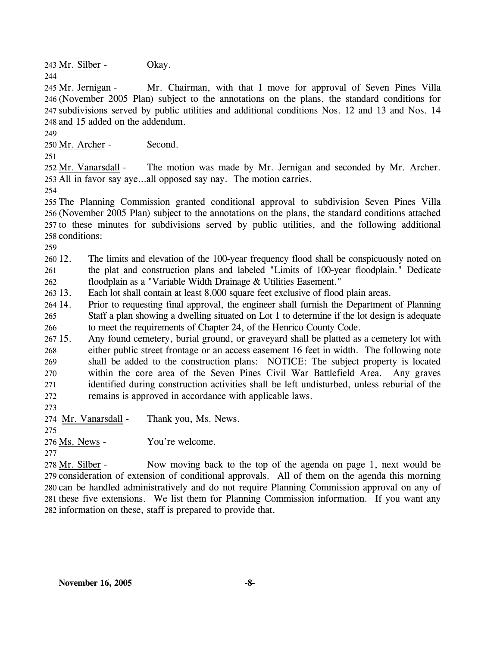243 Mr. Silber - Okay. 244

Mr. Chairman, with that I move for approval of Seven Pines Villa (November 2005 Plan) subject to the annotations on the plans, the standard conditions for 246 247 subdivisions served by public utilities and additional conditions Nos. 12 and 13 and Nos. 14 248 and 15 added on the addendum. 245 Mr. Jernigan -

249

250 Mr. Archer - Second.

251

The motion was made by Mr. Jernigan and seconded by Mr. Archer. 253 All in favor say aye...all opposed say nay. The motion carries. 252 Mr. Vanarsdall -

254

 The Planning Commission granted conditional approval to subdivision Seven Pines Villa (November 2005 Plan) subject to the annotations on the plans, the standard conditions attached to these minutes for subdivisions served by public utilities, and the following additional conditions:

259

 $26012.$ 261 262 The limits and elevation of the 100-year frequency flood shall be conspicuously noted on the plat and construction plans and labeled "Limits of 100-year floodplain." Dedicate floodplain as a "Variable Width Drainage & Utilities Easement."

263 13. Each lot shall contain at least 8,000 square feet exclusive of flood plain areas.

264 14. 265 266 Prior to requesting final approval, the engineer shall furnish the Department of Planning Staff a plan showing a dwelling situated on Lot 1 to determine if the lot design is adequate to meet the requirements of Chapter 24, of the Henrico County Code.

 $26715.$ 268 269 270 271 272 Any found cemetery, burial ground, or graveyard shall be platted as a cemetery lot with either public street frontage or an access easement 16 feet in width. The following note shall be added to the construction plans: NOTICE: The subject property is located within the core area of the Seven Pines Civil War Battlefield Area. Any graves identified during construction activities shall be left undisturbed, unless reburial of the remains is approved in accordance with applicable laws.

273

274 Mr. Vanarsdall - Thank you, Ms. News.

276 Ms. News - You're welcome.

277

275

Now moving back to the top of the agenda on page 1, next would be 279 consideration of extension of conditional approvals. All of them on the agenda this morning 280 can be handled administratively and do not require Planning Commission approval on any of 281 these five extensions. We list them for Planning Commission information. If you want any 282 information on these, staff is prepared to provide that. 278 Mr. Silber -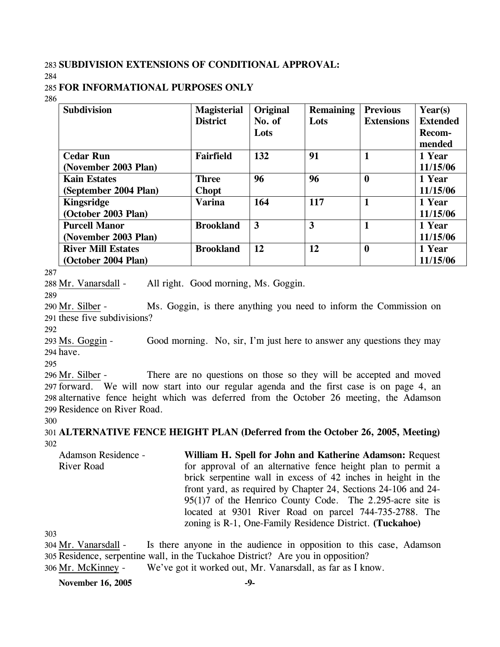## 283 **SUBDIVISION EXTENSIONS OF CONDITIONAL APPROVAL:**

284

## 285 **FOR INFORMATIONAL PURPOSES ONLY**

286

| <b>Subdivision</b>        | <b>Magisterial</b> | Original | <b>Remaining</b> | <b>Previous</b>   | Year(s)         |
|---------------------------|--------------------|----------|------------------|-------------------|-----------------|
|                           | <b>District</b>    | No. of   | Lots             | <b>Extensions</b> | <b>Extended</b> |
|                           |                    | Lots     |                  |                   | Recom-          |
|                           |                    |          |                  |                   | mended          |
| <b>Cedar Run</b>          | <b>Fairfield</b>   | 132      | 91               | 1                 | 1 Year          |
| (November 2003 Plan)      |                    |          |                  |                   | 11/15/06        |
| <b>Kain Estates</b>       | <b>Three</b>       | 96       | 96               | $\boldsymbol{0}$  | 1 Year          |
| (September 2004 Plan)     | <b>Chopt</b>       |          |                  |                   | 11/15/06        |
| <b>Kingsridge</b>         | <b>Varina</b>      | 164      | 117              | 1                 | 1 Year          |
| (October 2003 Plan)       |                    |          |                  |                   | 11/15/06        |
| <b>Purcell Manor</b>      | <b>Brookland</b>   | 3        | 3                | 1                 | 1 Year          |
| (November 2003 Plan)      |                    |          |                  |                   | 11/15/06        |
| <b>River Mill Estates</b> | <b>Brookland</b>   | 12       | 12               | $\bf{0}$          | 1 Year          |
| (October 2004 Plan)       |                    |          |                  |                   | 11/15/06        |

287

288 Mr. Vanarsdall - All right. Good morning, Ms. Goggin.

289

Ms. Goggin, is there anything you need to inform the Commission on 291 these five subdivisions? 290 Mr. Silber -

292

Good morning. No, sir, I'm just here to answer any questions they may 294 have. 293 Ms. Goggin -

295

There are no questions on those so they will be accepted and moved 297 forward. We will now start into our regular agenda and the first case is on page 4, an 298 alternative fence height which was deferred from the October 26 meeting, the Adamson 299 Residence on River Road. 296 Mr. Silber -

300

301 **ALTERNATIVE FENCE HEIGHT PLAN (Deferred from the October 26, 2005, Meeting)**  302

Adamson Residence - River Road **William H. Spell for John and Katherine Adamson:** Request for approval of an alternative fence height plan to permit a brick serpentine wall in excess of 42 inches in height in the front yard, as required by Chapter 24, Sections 24-106 and 24- 95(1)7 of the Henrico County Code. The 2.295-acre site is located at 9301 River Road on parcel 744-735-2788. The zoning is R-1, One-Family Residence District. **(Tuckahoe)** 

303

Is there anyone in the audience in opposition to this case, Adamson 305 Residence, serpentine wall, in the Tuckahoe District? Are you in opposition? 304 Mr. Vanarsdall -306 Mr. McKinney - We've got it worked out, Mr. Vanarsdall, as far as I know.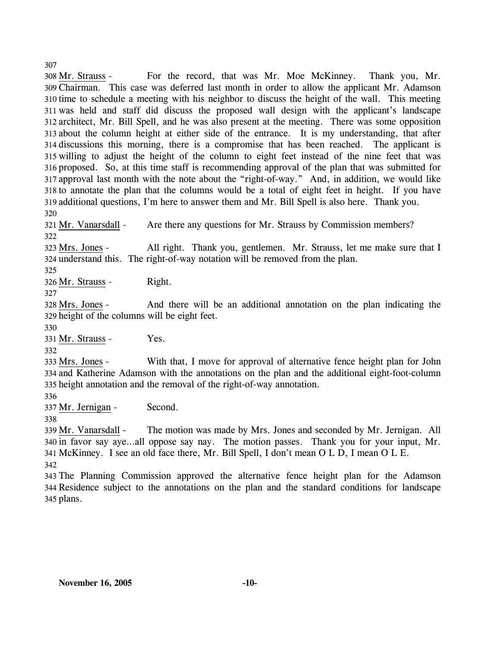For the record, that was Mr. Moe McKinney. Thank you, Mr. Chairman. This case was deferred last month in order to allow the applicant Mr. Adamson 309 310 time to schedule a meeting with his neighbor to discuss the height of the wall. This meeting was held and staff did discuss the proposed wall design with the applicant's landscape 311 architect, Mr. Bill Spell, and he was also present at the meeting. There was some opposition 312 313 about the column height at either side of the entrance. It is my understanding, that after 314 discussions this morning, there is a compromise that has been reached. The applicant is 315 willing to adjust the height of the column to eight feet instead of the nine feet that was 316 proposed. So, at this time staff is recommending approval of the plan that was submitted for 317 approval last month with the note about the "right-of-way." And, in addition, we would like 318 to annotate the plan that the columns would be a total of eight feet in height. If you have 319 additional questions, I'm here to answer them and Mr. Bill Spell is also here. Thank you. 308 Mr. Strauss -

320

321 Mr. Vanarsdall - Are there any questions for Mr. Strauss by Commission members? 322

All right. Thank you, gentlemen. Mr. Strauss, let me make sure that I 324 understand this. The right-of-way notation will be removed from the plan. 323 Mrs. Jones -

325

326 Mr. Strauss - Right.

327

And there will be an additional annotation on the plan indicating the 329 height of the columns will be eight feet. 328 Mrs. Jones -

330

331 Mr. Strauss - Yes.

332

With that, I move for approval of alternative fence height plan for John 334 and Katherine Adamson with the annotations on the plan and the additional eight-foot-column 335 height annotation and the removal of the right-of-way annotation. 333 Mrs. Jones -

336

337 Mr. Jernigan - Second.

338

The motion was made by Mrs. Jones and seconded by Mr. Jernigan. All 340 in favor say aye...all oppose say nay. The motion passes. Thank you for your input, Mr. McKinney. I see an old face there, Mr. Bill Spell, I don't mean O L D, I mean O L E. 341 339 Mr. Vanarsdall -342

343 The Planning Commission approved the alternative fence height plan for the Adamson 344 Residence subject to the annotations on the plan and the standard conditions for landscape 345 plans.

307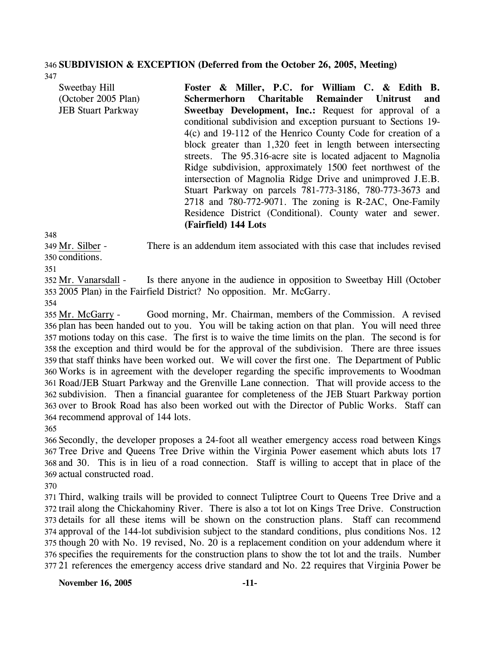# 346 **SUBDIVISION & EXCEPTION (Deferred from the October 26, 2005, Meeting)**

347

| Sweetbay Hill             | Foster & Miller, P.C. for William C. & Edith B.                                                                                                                                                                                                                                                                                                                                                                                                                                                                                                                                    |
|---------------------------|------------------------------------------------------------------------------------------------------------------------------------------------------------------------------------------------------------------------------------------------------------------------------------------------------------------------------------------------------------------------------------------------------------------------------------------------------------------------------------------------------------------------------------------------------------------------------------|
| (October 2005 Plan)       | Schermerhorn Charitable Remainder Unitrust<br>and                                                                                                                                                                                                                                                                                                                                                                                                                                                                                                                                  |
| <b>JEB Stuart Parkway</b> | <b>Sweetbay Development, Inc.: Request for approval of a</b><br>conditional subdivision and exception pursuant to Sections 19-<br>4(c) and 19-112 of the Henrico County Code for creation of a<br>block greater than 1,320 feet in length between intersecting<br>streets. The 95.316-acre site is located adjacent to Magnolia<br>Ridge subdivision, approximately 1500 feet northwest of the<br>intersection of Magnolia Ridge Drive and unimproved J.E.B.<br>Stuart Parkway on parcels 781-773-3186, 780-773-3673 and<br>2718 and 780-772-9071. The zoning is R-2AC, One-Family |
|                           | Residence District (Conditional). County water and sewer.<br>(Fairfield) 144 Lots                                                                                                                                                                                                                                                                                                                                                                                                                                                                                                  |

348

There is an addendum item associated with this case that includes revised 350 conditions. 349 Mr. Silber -

351

Is there anyone in the audience in opposition to Sweetbay Hill (October 2005 Plan) in the Fairfield District? No opposition. Mr. McGarry. 353 352 Mr. Vanarsdall -

354

Good morning, Mr. Chairman, members of the Commission. A revised 356 plan has been handed out to you. You will be taking action on that plan. You will need three motions today on this case. The first is to waive the time limits on the plan. The second is for 357 358 the exception and third would be for the approval of the subdivision. There are three issues 359 that staff thinks have been worked out. We will cover the first one. The Department of Public Works is in agreement with the developer regarding the specific improvements to Woodman 360 Road/JEB Stuart Parkway and the Grenville Lane connection. That will provide access to the 361 362 subdivision. Then a financial guarantee for completeness of the JEB Stuart Parkway portion 363 over to Brook Road has also been worked out with the Director of Public Works. Staff can 364 recommend approval of 144 lots. 355 Mr. McGarry -

365

 Secondly, the developer proposes a 24-foot all weather emergency access road between Kings Tree Drive and Queens Tree Drive within the Virginia Power easement which abuts lots 17 and 30. This is in lieu of a road connection. Staff is willing to accept that in place of the actual constructed road.

370

 Third, walking trails will be provided to connect Tuliptree Court to Queens Tree Drive and a trail along the Chickahominy River. There is also a tot lot on Kings Tree Drive. Construction details for all these items will be shown on the construction plans. Staff can recommend approval of the 144-lot subdivision subject to the standard conditions, plus conditions Nos. 12 though 20 with No. 19 revised, No. 20 is a replacement condition on your addendum where it specifies the requirements for the construction plans to show the tot lot and the trails. Number 21 references the emergency access drive standard and No. 22 requires that Virginia Power be

**November 16, 2005 -11-**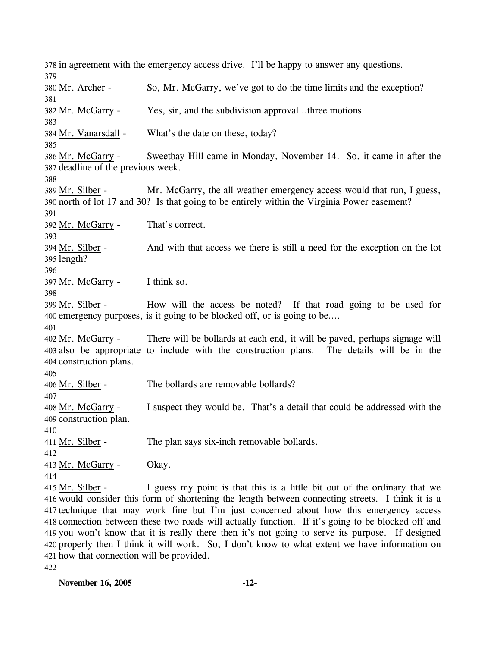378 in agreement with the emergency access drive. I'll be happy to answer any questions. 379 380 Mr. Archer - So, Mr. McGarry, we've got to do the time limits and the exception? 381 382 Mr. McGarry - Yes, sir, and the subdivision approval…three motions. 383 384 Mr. Vanarsdall - What's the date on these, today? 385 Sweetbay Hill came in Monday, November 14. So, it came in after the 387 deadline of the previous week. 386 Mr. McGarry -388 Mr. McGarry, the all weather emergency access would that run, I guess, north of lot 17 and 30? Is that going to be entirely within the Virginia Power easement? 390 389 Mr. Silber -391 392 Mr. McGarry - That's correct. 393 And with that access we there is still a need for the exception on the lot 395 length? 394 Mr. Silber -396 397 Mr. McGarry - I think so. 398 How will the access be noted? If that road going to be used for 400 emergency purposes, is it going to be blocked off, or is going to be.... 399 Mr. Silber -401 There will be bollards at each end, it will be paved, perhaps signage will also be appropriate to include with the construction plans. The details will be in the 403 404 construction plans. 402 Mr. McGarry -405 406 Mr. Silber - The bollards are removable bollards? 407 I suspect they would be. That's a detail that could be addressed with the 409 construction plan. 408 Mr. McGarry -410 411 Mr. Silber - The plan says six-inch removable bollards. 412 413 Mr. McGarry - Okay. 414 I guess my point is that this is a little bit out of the ordinary that we 416 would consider this form of shortening the length between connecting streets. I think it is a 417 technique that may work fine but I'm just concerned about how this emergency access 418 connection between these two roads will actually function. If it's going to be blocked off and 419 you won't know that it is really there then it's not going to serve its purpose. If designed 420 properly then I think it will work. So, I don't know to what extent we have information on 421 how that connection will be provided. 415 Mr. Silber -

422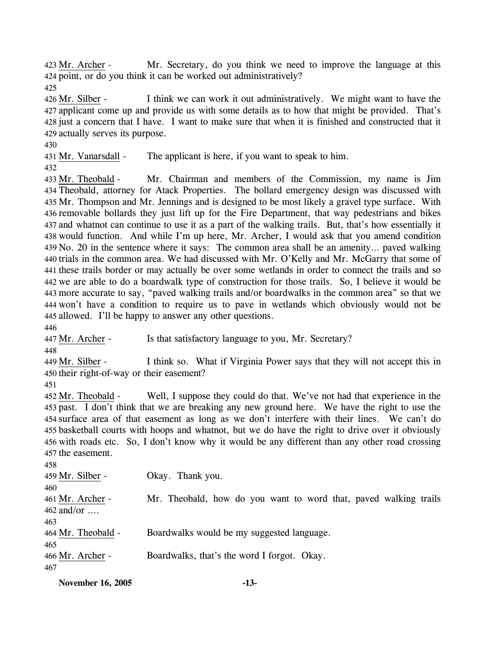Mr. Secretary, do you think we need to improve the language at this 424 point, or do you think it can be worked out administratively? 423 Mr. Archer -

425

I think we can work it out administratively. We might want to have the applicant come up and provide us with some details as to how that might be provided. That's 427 428 just a concern that I have. I want to make sure that when it is finished and constructed that it 429 actually serves its purpose. 426 Mr. Silber -

430

431 Mr. Vanarsdall - The applicant is here, if you want to speak to him.

432

Mr. Chairman and members of the Commission, my name is Jim Theobald, attorney for Atack Properties. The bollard emergency design was discussed with 434 435 Mr. Thompson and Mr. Jennings and is designed to be most likely a gravel type surface. With 436 removable bollards they just lift up for the Fire Department, that way pedestrians and bikes 437 and whatnot can continue to use it as a part of the walking trails. But, that's how essentially it 438 would function. And while I'm up here, Mr. Archer, I would ask that you amend condition 439 No. 20 in the sentence where it says: The common area shall be an amenity... paved walking 440 trials in the common area. We had discussed with Mr. O'Kelly and Mr. McGarry that some of 441 these trails border or may actually be over some wetlands in order to connect the trails and so 442 we are able to do a boardwalk type of construction for those trails. So, I believe it would be more accurate to say, "paved walking trails and/or boardwalks in the common area" so that we 443 444 won't have a condition to require us to pave in wetlands which obviously would not be 445 allowed. I'll be happy to answer any other questions. 433 Mr. Theobald -

446

447 Mr. Archer - Is that satisfactory language to you, Mr. Secretary?

448

I think so. What if Virginia Power says that they will not accept this in 450 their right-of-way or their easement? 449 Mr. Silber -

451

Well, I suppose they could do that. We've not had that experience in the 453 past. I don't think that we are breaking any new ground here. We have the right to use the 454 surface area of that easement as long as we don't interfere with their lines. We can't do 455 basketball courts with hoops and whatnot, but we do have the right to drive over it obviously 456 with roads etc. So, I don't know why it would be any different than any other road crossing 457 the easement. 452 Mr. Theobald -

| 458                |                                                                  |
|--------------------|------------------------------------------------------------------|
| 459 Mr. Silber -   | Okay. Thank you.                                                 |
| 460                |                                                                  |
| 461 Mr. Archer -   | Mr. Theobald, how do you want to word that, paved walking trails |
| $462$ and/or       |                                                                  |
| 463                |                                                                  |
| 464 Mr. Theobald - | Boardwalks would be my suggested language.                       |
| 465                |                                                                  |
| 466 Mr. Archer -   | Boardwalks, that's the word I forgot. Okay.                      |
| 467                |                                                                  |
|                    |                                                                  |

**November 16, 2005 -13-**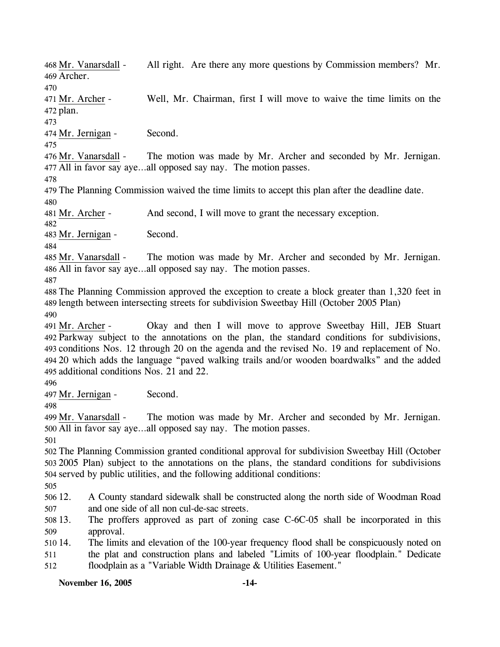**November 16, 2005 -14-** All right. Are there any more questions by Commission members? Mr. Archer. 469 468 Mr. Vanarsdall -470 Well, Mr. Chairman, first I will move to waive the time limits on the 472 plan. 471 Mr. Archer -473 474 Mr. Jernigan - Second. 475 The motion was made by Mr. Archer and seconded by Mr. Jernigan. All in favor say aye…all opposed say nay. The motion passes. 477 476 Mr. Vanarsdall -478 479 The Planning Commission waived the time limits to accept this plan after the deadline date. 480 481 Mr. Archer - And second, I will move to grant the necessary exception. 482 483 Mr. Jernigan - Second. 484 The motion was made by Mr. Archer and seconded by Mr. Jernigan. All in favor say aye…all opposed say nay. The motion passes. 486 485 Mr. Vanarsdall -487 488 The Planning Commission approved the exception to create a block greater than 1,320 feet in 489 length between intersecting streets for subdivision Sweetbay Hill (October 2005 Plan) 490 Okay and then I will move to approve Sweetbay Hill, JEB Stuart Parkway subject to the annotations on the plan, the standard conditions for subdivisions, 492 493 conditions Nos. 12 through 20 on the agenda and the revised No. 19 and replacement of No. 20 which adds the language "paved walking trails and/or wooden boardwalks" and the added 494 495 additional conditions Nos. 21 and 22. 491 Mr. Archer -496 497 Mr. Jernigan - Second. 498 The motion was made by Mr. Archer and seconded by Mr. Jernigan. All in favor say aye…all opposed say nay. The motion passes. 500 499 Mr. Vanarsdall -501 502 The Planning Commission granted conditional approval for subdivision Sweetbay Hill (October 503 2005 Plan) subject to the annotations on the plans, the standard conditions for subdivisions 504 served by public utilities, and the following additional conditions: 505 506 12. 507 508 13. 509 510 14. 511 512 12. A County standard sidewalk shall be constructed along the north side of Woodman Road and one side of all non cul-de-sac streets. The proffers approved as part of zoning case C-6C-05 shall be incorporated in this approval. The limits and elevation of the 100-year frequency flood shall be conspicuously noted on the plat and construction plans and labeled "Limits of 100-year floodplain." Dedicate floodplain as a "Variable Width Drainage & Utilities Easement."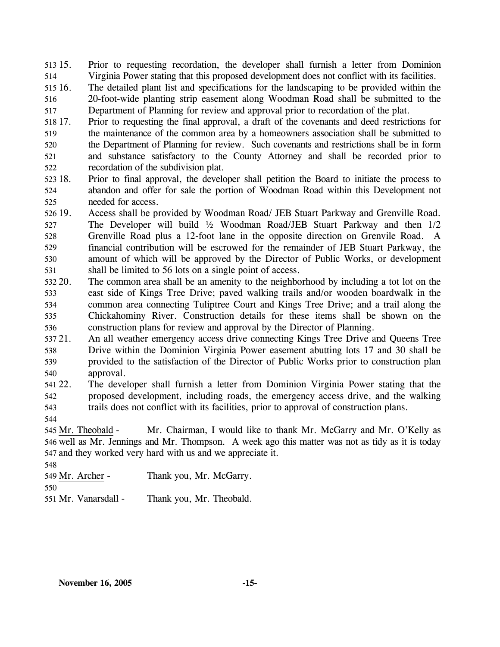$513\,15$ . 514 15. Prior to requesting recordation, the developer shall furnish a letter from Dominion Virginia Power stating that this proposed development does not conflict with its facilities.

515 16. 516 517 16. The detailed plant list and specifications for the landscaping to be provided within the 20-foot-wide planting strip easement along Woodman Road shall be submitted to the Department of Planning for review and approval prior to recordation of the plat.

- 518 17. 519 520 521 522 17. Prior to requesting the final approval, a draft of the covenants and deed restrictions for the maintenance of the common area by a homeowners association shall be submitted to the Department of Planning for review. Such covenants and restrictions shall be in form and substance satisfactory to the County Attorney and shall be recorded prior to recordation of the subdivision plat.
- 523 18. 524 525 18. Prior to final approval, the developer shall petition the Board to initiate the process to abandon and offer for sale the portion of Woodman Road within this Development not needed for access.
- 526 19. 527 528 529 530 531 Access shall be provided by Woodman Road/ JEB Stuart Parkway and Grenville Road. The Developer will build ½ Woodman Road/JEB Stuart Parkway and then 1/2 Grenville Road plus a 12-foot lane in the opposite direction on Grenvile Road. A financial contribution will be escrowed for the remainder of JEB Stuart Parkway, the amount of which will be approved by the Director of Public Works, or development shall be limited to 56 lots on a single point of access.
- 532 20. 533 534 535 536 The common area shall be an amenity to the neighborhood by including a tot lot on the east side of Kings Tree Drive; paved walking trails and/or wooden boardwalk in the common area connecting Tuliptree Court and Kings Tree Drive; and a trail along the Chickahominy River. Construction details for these items shall be shown on the construction plans for review and approval by the Director of Planning.
- 537 21. 538 539 540 21. An all weather emergency access drive connecting Kings Tree Drive and Queens Tree Drive within the Dominion Virginia Power easement abutting lots 17 and 30 shall be provided to the satisfaction of the Director of Public Works prior to construction plan approval.
- 541 22. 542 543 22. The developer shall furnish a letter from Dominion Virginia Power stating that the proposed development, including roads, the emergency access drive, and the walking trails does not conflict with its facilities, prior to approval of construction plans.
- 544

Mr. Chairman, I would like to thank Mr. McGarry and Mr. O'Kelly as 546 well as Mr. Jennings and Mr. Thompson. A week ago this matter was not as tidy as it is today 547 and they worked very hard with us and we appreciate it. 545 Mr. Theobald -

548

549 Mr. Archer - Thank you, Mr. McGarry.

550

551 Mr. Vanarsdall - Thank you, Mr. Theobald.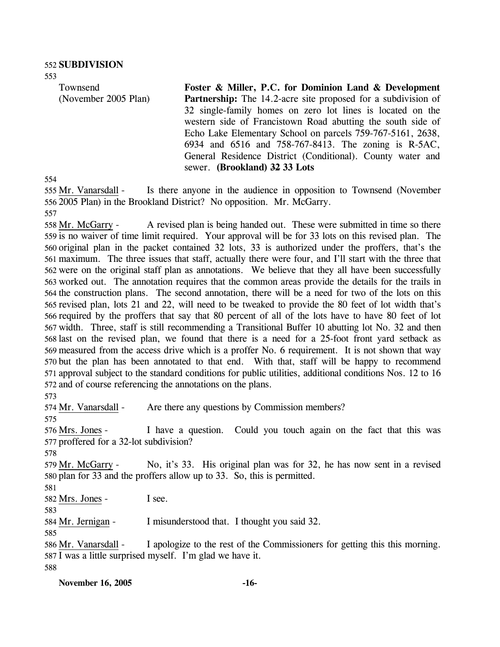Townsend (November 2005 Plan) **Foster & Miller, P.C. for Dominion Land & Development Partnership:** The 14.2-acre site proposed for a subdivision of 32 single-family homes on zero lot lines is located on the western side of Francistown Road abutting the south side of Echo Lake Elementary School on parcels 759-767-5161, 2638, 6934 and 6516 and 758-767-8413. The zoning is R-5AC, General Residence District (Conditional). County water and sewer. **(Brookland) 32 33 Lots** 

554

553

Is there anyone in the audience in opposition to Townsend (November 2005 Plan) in the Brookland District? No opposition. Mr. McGarry. 556 555 Mr. Vanarsdall -

557

A revised plan is being handed out. These were submitted in time so there 559 is no waiver of time limit required. Your approval will be for 33 lots on this revised plan. The 560 original plan in the packet contained 32 lots, 33 is authorized under the proffers, that's the maximum. The three issues that staff, actually there were four, and I'll start with the three that 561 562 were on the original staff plan as annotations. We believe that they all have been successfully 563 worked out. The annotation requires that the common areas provide the details for the trails in 564 the construction plans. The second annotation, there will be a need for two of the lots on this 565 revised plan, lots 21 and 22, will need to be tweaked to provide the 80 feet of lot width that's 566 required by the proffers that say that 80 percent of all of the lots have to have 80 feet of lot 567 width. Three, staff is still recommending a Transitional Buffer 10 abutting lot No. 32 and then 568 last on the revised plan, we found that there is a need for a 25-foot front yard setback as 569 measured from the access drive which is a proffer No. 6 requirement. It is not shown that way 570 but the plan has been annotated to that end. With that, staff will be happy to recommend 571 approval subject to the standard conditions for public utilities, additional conditions Nos. 12 to 16 572 and of course referencing the annotations on the plans. 558 Mr. McGarry -

573

574 Mr. Vanarsdall - Are there any questions by Commission members?

575

I have a question. Could you touch again on the fact that this was 577 proffered for a 32-lot subdivision? 576 Mrs. Jones -

578

No, it's 33. His original plan was for 32, he has now sent in a revised 580 plan for 33 and the proffers allow up to 33. So, this is permitted. 579 Mr. McGarry -

581

582 Mrs. Jones - I see.

583 584 Mr. Jernigan - I misunderstood that. I thought you said 32.

585

I apologize to the rest of the Commissioners for getting this this morning. 587 I was a little surprised myself. I'm glad we have it. 586 Mr. Vanarsdall -588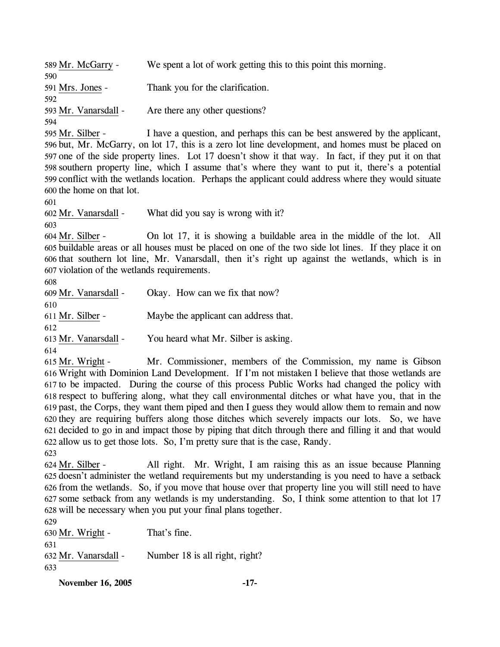**November 16, 2005 -17-** 589 Mr. McGarry - We spent a lot of work getting this to this point this morning. 590 591 Mrs. Jones - Thank you for the clarification. 592 593 Mr. Vanarsdall - Are there any other questions? 594 I have a question, and perhaps this can be best answered by the applicant, 596 but, Mr. McGarry, on lot 17, this is a zero lot line development, and homes must be placed on 597 one of the side property lines. Lot 17 doesn't show it that way. In fact, if they put it on that 598 southern property line, which I assume that's where they want to put it, there's a potential 599 conflict with the wetlands location. Perhaps the applicant could address where they would situate 600 the home on that lot. 595 Mr. Silber -601 602 Mr. Vanarsdall - What did you say is wrong with it? 603 On lot 17, it is showing a buildable area in the middle of the lot. All buildable areas or all houses must be placed on one of the two side lot lines. If they place it on 605 606 that southern lot line, Mr. Vanarsdall, then it's right up against the wetlands, which is in 607 violation of the wetlands requirements. 604 Mr. Silber -608 609 Mr. Vanarsdall - Okay. How can we fix that now? 610 611 Mr. Silber - Maybe the applicant can address that. 612 613 Mr. Vanarsdall - You heard what Mr. Silber is asking. 614 Mr. Commissioner, members of the Commission, my name is Gibson Wright with Dominion Land Development. If I'm not mistaken I believe that those wetlands are 616 617 to be impacted. During the course of this process Public Works had changed the policy with 618 respect to buffering along, what they call environmental ditches or what have you, that in the 619 past, the Corps, they want them piped and then I guess they would allow them to remain and now 620 they are requiring buffers along those ditches which severely impacts our lots. So, we have 621 decided to go in and impact those by piping that ditch through there and filling it and that would 622 allow us to get those lots. So, I'm pretty sure that is the case, Randy. 615 Mr. Wright -623 All right. Mr. Wright, I am raising this as an issue because Planning 625 doesn't administer the wetland requirements but my understanding is you need to have a setback 626 from the wetlands. So, if you move that house over that property line you will still need to have 627 some setback from any wetlands is my understanding. So, I think some attention to that lot 17 628 will be necessary when you put your final plans together. 624 Mr. Silber -629 630 Mr. Wright - That's fine. 631 632 Mr. Vanarsdall - Number 18 is all right, right? 633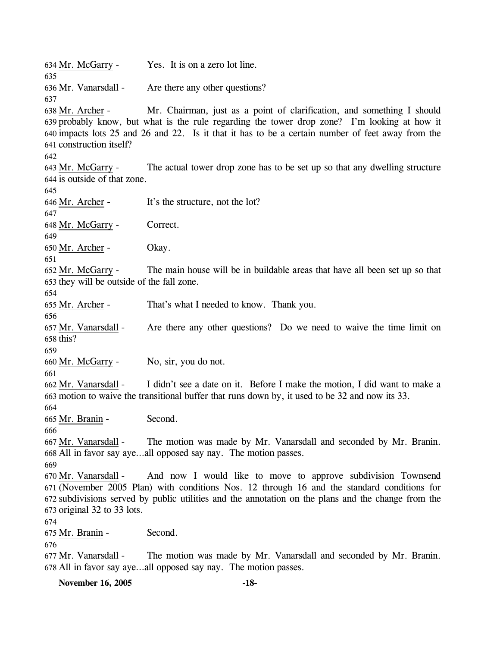634 Mr. McGarry - Yes. It is on a zero lot line. 635 636 Mr. Vanarsdall - Are there any other questions? 637 Mr. Chairman, just as a point of clarification, and something I should 639 probably know, but what is the rule regarding the tower drop zone? I'm looking at how it 640 impacts lots 25 and 26 and 22. Is it that it has to be a certain number of feet away from the 641 construction itself? 638 Mr. Archer -642 The actual tower drop zone has to be set up so that any dwelling structure 644 is outside of that zone. 643 Mr. McGarry -645 646 Mr. Archer - It's the structure, not the lot? 647 648 Mr. McGarry - Correct. 649 650 Mr. Archer - Okay. 651 The main house will be in buildable areas that have all been set up so that 653 they will be outside of the fall zone. 652 Mr. McGarry -654 655 Mr. Archer - That's what I needed to know. Thank you. 656 Are there any other questions? Do we need to waive the time limit on  $658$  this? 657 Mr. Vanarsdall -659 660 Mr. McGarry - No, sir, you do not. 661 I didn't see a date on it. Before I make the motion, I did want to make a motion to waive the transitional buffer that runs down by, it used to be 32 and now its 33. 663 662 Mr. Vanarsdall -664 665 Mr. Branin - Second. 666 The motion was made by Mr. Vanarsdall and seconded by Mr. Branin. All in favor say aye…all opposed say nay. The motion passes. 668 667 Mr. Vanarsdall -669 And now I would like to move to approve subdivision Townsend (November 2005 Plan) with conditions Nos. 12 through 16 and the standard conditions for 671 672 subdivisions served by public utilities and the annotation on the plans and the change from the  $673$  original 32 to 33 lots. 670 Mr. Vanarsdall -674 675 Mr. Branin - Second. 676 The motion was made by Mr. Vanarsdall and seconded by Mr. Branin. All in favor say aye…all opposed say nay. The motion passes. 678 677 Mr. Vanarsdall -

**November 16, 2005 -18-**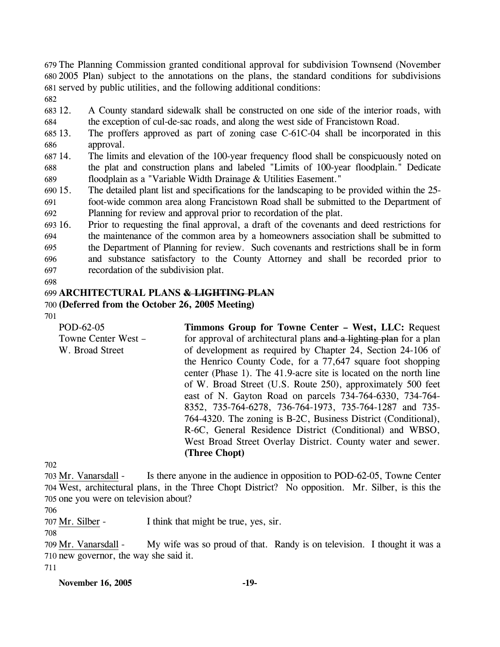679 The Planning Commission granted conditional approval for subdivision Townsend (November 680 2005 Plan) subject to the annotations on the plans, the standard conditions for subdivisions 681 served by public utilities, and the following additional conditions:

- 682
- 683 12. 684 12. A County standard sidewalk shall be constructed on one side of the interior roads, with the exception of cul-de-sac roads, and along the west side of Francistown Road.
- 685 13. 686 The proffers approved as part of zoning case  $C$ -61 $C$ -04 shall be incorporated in this approval.
- 687 14. 688 689 The limits and elevation of the 100-year frequency flood shall be conspicuously noted on the plat and construction plans and labeled "Limits of 100-year floodplain." Dedicate floodplain as a "Variable Width Drainage & Utilities Easement."
- $69015.$ 691 692 The detailed plant list and specifications for the landscaping to be provided within the 25foot-wide common area along Francistown Road shall be submitted to the Department of Planning for review and approval prior to recordation of the plat.

693 16. 694 695 696 697 16. Prior to requesting the final approval, a draft of the covenants and deed restrictions for the maintenance of the common area by a homeowners association shall be submitted to the Department of Planning for review. Such covenants and restrictions shall be in form and substance satisfactory to the County Attorney and shall be recorded prior to recordation of the subdivision plat.

698

## 699 **ARCHITECTURAL PLANS & LIGHTING PLAN**

## 700 **(Deferred from the October 26, 2005 Meeting)**

701

POD-62-05 Towne Center West – W. Broad Street **Timmons Group for Towne Center – West, LLC:** Request for approval of architectural plans and a lighting plan for a plan of development as required by Chapter 24, Section 24-106 of the Henrico County Code, for a 77,647 square foot shopping center (Phase 1). The 41.9-acre site is located on the north line of W. Broad Street (U.S. Route 250), approximately 500 feet east of N. Gayton Road on parcels 734-764-6330, 734-764- 8352, 735-764-6278, 736-764-1973, 735-764-1287 and 735- 764-4320. The zoning is B-2C, Business District (Conditional), R-6C, General Residence District (Conditional) and WBSO, West Broad Street Overlay District. County water and sewer. **(Three Chopt)** 

702

Is there anyone in the audience in opposition to POD-62-05, Towne Center West, architectural plans, in the Three Chopt District? No opposition. Mr. Silber, is this the 704 705 one you were on television about? 703 Mr. Vanarsdall -

706

707 Mr. Silber - I think that might be true, yes, sir.

708

My wife was so proud of that. Randy is on television. I thought it was a 710 new governor, the way she said it. 709 Mr. Vanarsdall -

711

#### **November 16, 2005 -19-**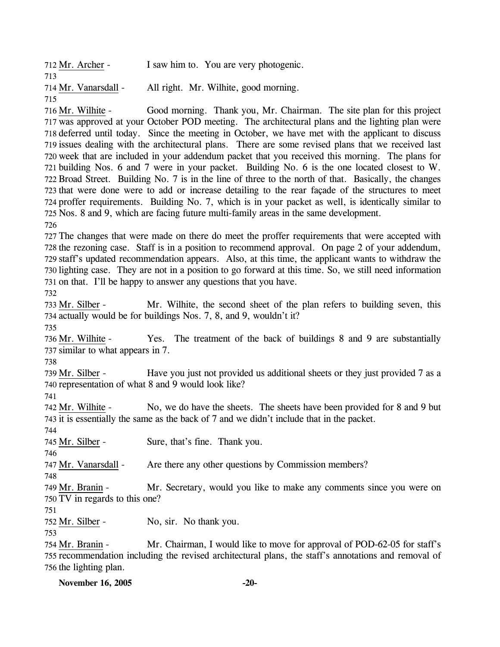| 712 Mr. Archer -     | I saw him to. You are very photogenic. |
|----------------------|----------------------------------------|
| 713                  |                                        |
| 714 Mr. Vanarsdall - | All right. Mr. Wilhite, good morning.  |
| 715                  |                                        |

Good morning. Thank you, Mr. Chairman. The site plan for this project 717 was approved at your October POD meeting. The architectural plans and the lighting plan were 718 deferred until today. Since the meeting in October, we have met with the applicant to discuss 719 issues dealing with the architectural plans. There are some revised plans that we received last 720 week that are included in your addendum packet that you received this morning. The plans for building Nos. 6 and 7 were in your packet. Building No. 6 is the one located closest to W. 721 722 Broad Street. Building No. 7 is in the line of three to the north of that. Basically, the changes 723 that were done were to add or increase detailing to the rear façade of the structures to meet 724 proffer requirements. Building No. 7, which is in your packet as well, is identically similar to 725 Nos. 8 and 9, which are facing future multi-family areas in the same development. 716 Mr. Wilhite -

726

 The changes that were made on there do meet the proffer requirements that were accepted with the rezoning case. Staff is in a position to recommend approval. On page 2 of your addendum, staff's updated recommendation appears. Also, at this time, the applicant wants to withdraw the lighting case. They are not in a position to go forward at this time. So, we still need information on that. I'll be happy to answer any questions that you have.

732

Mr. Wilhite, the second sheet of the plan refers to building seven, this 734 actually would be for buildings Nos. 7, 8, and 9, wouldn't it? 733 Mr. Silber -

735

Yes. The treatment of the back of buildings 8 and 9 are substantially 737 similar to what appears in 7. 736 Mr. Wilhite -

738

Have you just not provided us additional sheets or they just provided 7 as a 740 representation of what 8 and 9 would look like? 739 Mr. Silber -

741

No, we do have the sheets. The sheets have been provided for 8 and 9 but 743 it is essentially the same as the back of 7 and we didn't include that in the packet. 742 Mr. Wilhite -744

745 Mr. Silber - Sure, that's fine. Thank you.

746

747 Mr. Vanarsdall - Are there any other questions by Commission members?

748

Mr. Secretary, would you like to make any comments since you were on 750 TV in regards to this one? 749 Mr. Branin -

751

752 Mr. Silber - No, sir. No thank you.

753

Mr. Chairman, I would like to move for approval of POD-62-05 for staff's 755 recommendation including the revised architectural plans, the staff's annotations and removal of 756 the lighting plan. 754 Mr. Branin -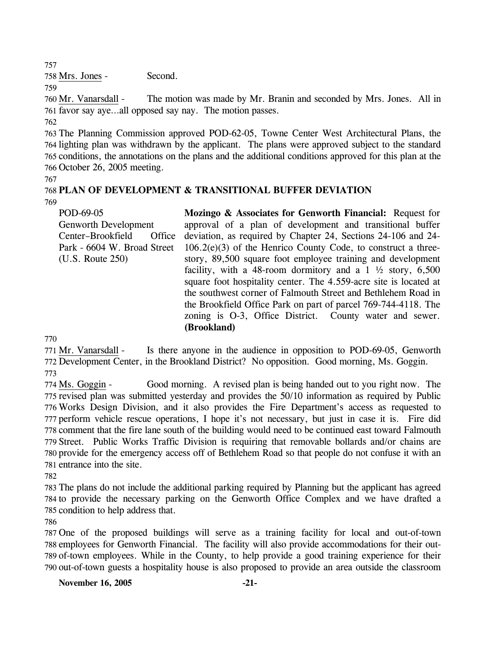757

758 Mrs. Jones - Second.

759

The motion was made by Mr. Branin and seconded by Mrs. Jones. All in 761 favor say aye...all opposed say nay. The motion passes. 760 Mr. Vanarsdall -762

 The Planning Commission approved POD-62-05, Towne Center West Architectural Plans, the lighting plan was withdrawn by the applicant. The plans were approved subject to the standard conditions, the annotations on the plans and the additional conditions approved for this plan at the October 26, 2005 meeting.

767

# 768 **PLAN OF DEVELOPMENT & TRANSITIONAL BUFFER DEVIATION**

769

POD-69-05 Genworth Development Center–Brookfield Office Park - 6604 W. Broad Street (U.S. Route 250) **Mozingo & Associates for Genworth Financial:** Request for approval of a plan of development and transitional buffer deviation, as required by Chapter 24, Sections 24-106 and 24-  $106.2(e)(3)$  of the Henrico County Code, to construct a threestory, 89,500 square foot employee training and development facility, with a 48-room dormitory and a  $1\frac{1}{2}$  story, 6,500 square foot hospitality center. The 4.559-acre site is located at the southwest corner of Falmouth Street and Bethlehem Road in the Brookfield Office Park on part of parcel 769-744-4118. The zoning is O-3, Office District. County water and sewer. **(Brookland)**

770

Is there anyone in the audience in opposition to POD-69-05, Genworth 772 Development Center, in the Brookland District? No opposition. Good morning, Ms. Goggin. 771 Mr. Vanarsdall -773

Good morning. A revised plan is being handed out to you right now. The 775 revised plan was submitted yesterday and provides the 50/10 information as required by Public 776 Works Design Division, and it also provides the Fire Department's access as requested to 777 perform vehicle rescue operations, I hope it's not necessary, but just in case it is. Fire did 778 comment that the fire lane south of the building would need to be continued east toward Falmouth 779 Street. Public Works Traffic Division is requiring that removable bollards and/or chains are 780 provide for the emergency access off of Bethlehem Road so that people do not confuse it with an 781 entrance into the site. 774 Ms. Goggin -

782

783 The plans do not include the additional parking required by Planning but the applicant has agreed 784 to provide the necessary parking on the Genworth Office Complex and we have drafted a 785 condition to help address that.

786

 One of the proposed buildings will serve as a training facility for local and out-of-town employees for Genworth Financial. The facility will also provide accommodations for their out- of-town employees. While in the County, to help provide a good training experience for their out-of-town guests a hospitality house is also proposed to provide an area outside the classroom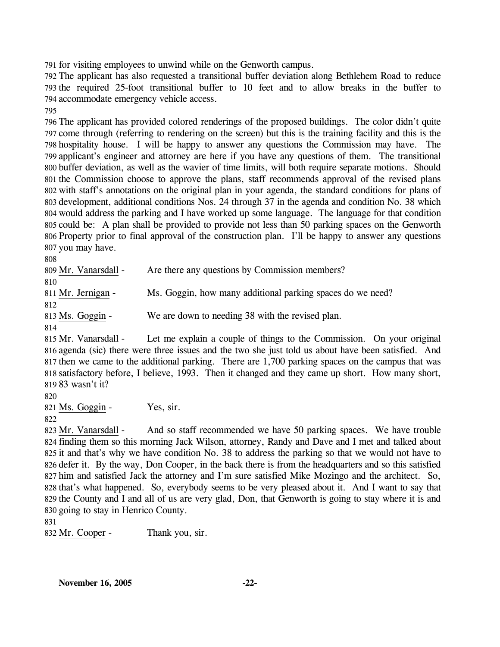791 for visiting employees to unwind while on the Genworth campus.

792 The applicant has also requested a transitional buffer deviation along Bethlehem Road to reduce 793 the required 25-foot transitional buffer to 10 feet and to allow breaks in the buffer to 794 accommodate emergency vehicle access.

795

 The applicant has provided colored renderings of the proposed buildings. The color didn't quite come through (referring to rendering on the screen) but this is the training facility and this is the hospitality house. I will be happy to answer any questions the Commission may have. The applicant's engineer and attorney are here if you have any questions of them. The transitional buffer deviation, as well as the wavier of time limits, will both require separate motions. Should the Commission choose to approve the plans, staff recommends approval of the revised plans with staff's annotations on the original plan in your agenda, the standard conditions for plans of development, additional conditions Nos. 24 through 37 in the agenda and condition No. 38 which would address the parking and I have worked up some language. The language for that condition could be: A plan shall be provided to provide not less than 50 parking spaces on the Genworth Property prior to final approval of the construction plan. I'll be happy to answer any questions you may have.

808

| 809 Mr. Vanarsdall - | Are there any questions by Commission members?             |
|----------------------|------------------------------------------------------------|
| 810                  |                                                            |
| 811 Mr. Jernigan -   | Ms. Goggin, how many additional parking spaces do we need? |
| 812                  |                                                            |
| 813 Ms. Goggin -     | We are down to needing 38 with the revised plan.           |

814

Let me explain a couple of things to the Commission. On your original 816 agenda (sic) there were three issues and the two she just told us about have been satisfied. And 817 then we came to the additional parking. There are 1,700 parking spaces on the campus that was 818 satisfactory before, I believe, 1993. Then it changed and they came up short. How many short, 83 wasn't it? 819 815 Mr. Vanarsdall -

820

821 Ms. Goggin - Yes, sir.

And so staff recommended we have 50 parking spaces. We have trouble 824 finding them so this morning Jack Wilson, attorney, Randy and Dave and I met and talked about 825 it and that's why we have condition No. 38 to address the parking so that we would not have to 826 defer it. By the way, Don Cooper, in the back there is from the headquarters and so this satisfied 827 him and satisfied Jack the attorney and I'm sure satisfied Mike Mozingo and the architect. So, 828 that's what happened. So, everybody seems to be very pleased about it. And I want to say that 829 the County and I and all of us are very glad, Don, that Genworth is going to stay where it is and 830 going to stay in Henrico County. 823 Mr. Vanarsdall -

831

832 Mr. Cooper - Thank you, sir.

<sup>822</sup>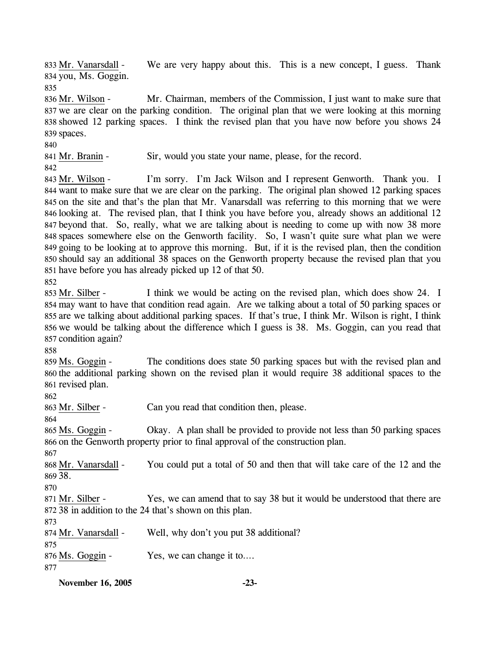We are very happy about this. This is a new concept, I guess. Thank 834 you, Ms. Goggin. 833 Mr. Vanarsdall -

835

Mr. Chairman, members of the Commission, I just want to make sure that 837 we are clear on the parking condition. The original plan that we were looking at this morning 838 showed 12 parking spaces. I think the revised plan that you have now before you shows 24 839 spaces. 836 Mr. Wilson -

840

841 Mr. Branin - Sir, would you state your name, please, for the record.

842

I'm sorry. I'm Jack Wilson and I represent Genworth. Thank you. I 844 want to make sure that we are clear on the parking. The original plan showed 12 parking spaces 845 on the site and that's the plan that Mr. Vanarsdall was referring to this morning that we were 846 looking at. The revised plan, that I think you have before you, already shows an additional 12 847 beyond that. So, really, what we are talking about is needing to come up with now 38 more 848 spaces somewhere else on the Genworth facility. So, I wasn't quite sure what plan we were 849 going to be looking at to approve this morning. But, if it is the revised plan, then the condition 850 should say an additional 38 spaces on the Genworth property because the revised plan that you 851 have before you has already picked up 12 of that 50. 843 Mr. Wilson -

852

I think we would be acting on the revised plan, which does show 24. I 854 may want to have that condition read again. Are we talking about a total of 50 parking spaces or 855 are we talking about additional parking spaces. If that's true, I think Mr. Wilson is right, I think 856 we would be talking about the difference which I guess is 38. Ms. Goggin, can you read that 857 condition again? 853 Mr. Silber -

858

The conditions does state 50 parking spaces but with the revised plan and 860 the additional parking shown on the revised plan it would require 38 additional spaces to the 861 revised plan. 859 Ms. Goggin -

862

863 Mr. Silber - Can you read that condition then, please.

864

Okay. A plan shall be provided to provide not less than 50 parking spaces 866 on the Genworth property prior to final approval of the construction plan. 865 Ms. Goggin -

867

You could put a total of 50 and then that will take care of the 12 and the 38. 869 868 Mr. Vanarsdall -

870

Yes, we can amend that to say 38 but it would be understood that there are 38 in addition to the 24 that's shown on this plan. 872 871 Mr. Silber -

873

874 Mr. Vanarsdall - Well, why don't you put 38 additional?

875

876 Ms. Goggin - Yes, we can change it to....

877

**November 16, 2005 -23-**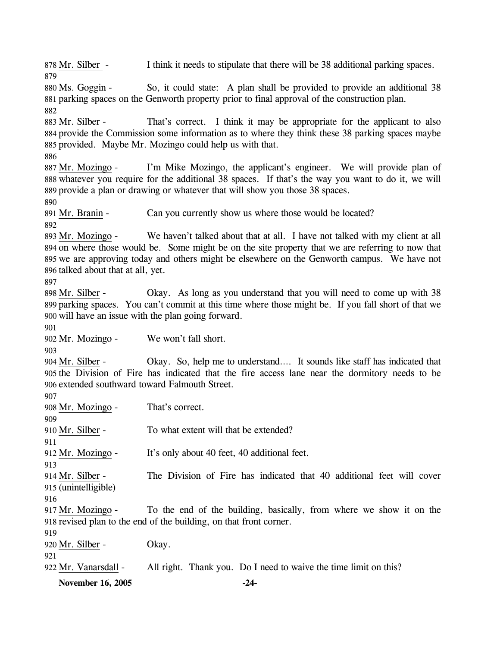**November 16, 2005 -24-** 878 Mr. Silber - I think it needs to stipulate that there will be 38 additional parking spaces. 879 So, it could state: A plan shall be provided to provide an additional 38 881 parking spaces on the Genworth property prior to final approval of the construction plan. 880 Ms. Goggin -882 That's correct. I think it may be appropriate for the applicant to also 884 provide the Commission some information as to where they think these 38 parking spaces maybe 885 provided. Maybe Mr. Mozingo could help us with that. 883 Mr. Silber -886 I'm Mike Mozingo, the applicant's engineer. We will provide plan of 888 whatever you require for the additional 38 spaces. If that's the way you want to do it, we will 889 provide a plan or drawing or whatever that will show you those 38 spaces. 887 Mr. Mozingo -890 891 Mr. Branin - Can you currently show us where those would be located? 892 We haven't talked about that at all. I have not talked with my client at all 894 on where those would be. Some might be on the site property that we are referring to now that 895 we are approving today and others might be elsewhere on the Genworth campus. We have not 896 talked about that at all, yet. 893 Mr. Mozingo -897 Okay. As long as you understand that you will need to come up with 38 899 parking spaces. You can't commit at this time where those might be. If you fall short of that we 900 will have an issue with the plan going forward. 898 Mr. Silber -901 902 Mr. Mozingo - We won't fall short. 903 Okay. So, help me to understand…. It sounds like staff has indicated that 905 the Division of Fire has indicated that the fire access lane near the dormitory needs to be 906 extended southward toward Falmouth Street. 904 Mr. Silber -907 908 Mr. Mozingo - That's correct. 909 910 Mr. Silber - To what extent will that be extended? 911 912 Mr. Mozingo - It's only about 40 feet, 40 additional feet. 913 The Division of Fire has indicated that 40 additional feet will cover (unintelligible) 915 914 Mr. Silber -916 To the end of the building, basically, from where we show it on the 918 revised plan to the end of the building, on that front corner. 917 Mr. Mozingo -919 920 Mr. Silber - Okay. 921 922 Mr. Vanarsdall - All right. Thank you. Do I need to waive the time limit on this?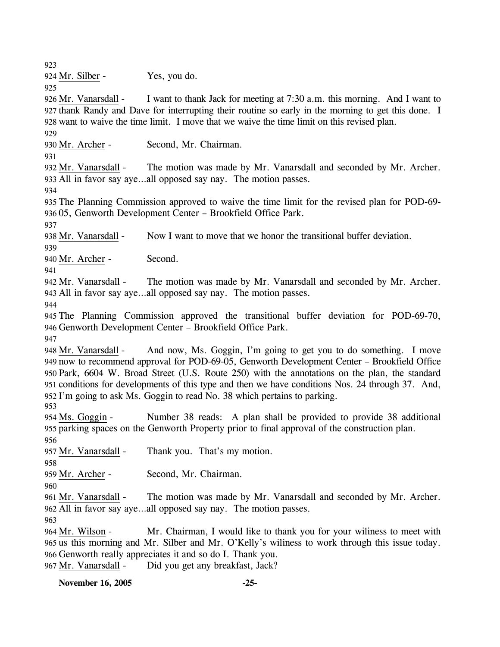923

924 Mr. Silber - Yes, you do.

925

I want to thank Jack for meeting at 7:30 a.m. this morning. And I want to 927 thank Randy and Dave for interrupting their routine so early in the morning to get this done. I 928 want to waive the time limit. I move that we waive the time limit on this revised plan. 926 Mr. Vanarsdall -

929

930 Mr. Archer - Second, Mr. Chairman.

931

The motion was made by Mr. Vanarsdall and seconded by Mr. Archer. All in favor say aye…all opposed say nay. The motion passes. 933 932 Mr. Vanarsdall -

934

935 The Planning Commission approved to waive the time limit for the revised plan for POD-69- 936 05, Genworth Development Center – Brookfield Office Park.

937

938 Mr. Vanarsdall - Now I want to move that we honor the transitional buffer deviation.

939

940 Mr. Archer - Second.

941

The motion was made by Mr. Vanarsdall and seconded by Mr. Archer. All in favor say aye…all opposed say nay. The motion passes. 943 942 Mr. Vanarsdall -

944

945 The Planning Commission approved the transitional buffer deviation for POD-69-70, 946 Genworth Development Center – Brookfield Office Park.

947

And now, Ms. Goggin, I'm going to get you to do something. I move now to recommend approval for POD-69-05, Genworth Development Center – Brookfield Office 949 950 Park, 6604 W. Broad Street (U.S. Route 250) with the annotations on the plan, the standard 951 conditions for developments of this type and then we have conditions Nos. 24 through 37. And, 952 I'm going to ask Ms. Goggin to read No. 38 which pertains to parking. 948 Mr. Vanarsdall -

953

Number 38 reads: A plan shall be provided to provide 38 additional 955 parking spaces on the Genworth Property prior to final approval of the construction plan. 954 Ms. Goggin -

956

957 Mr. Vanarsdall - Thank you. That's my motion.

958

959 Mr. Archer - Second, Mr. Chairman.

960

The motion was made by Mr. Vanarsdall and seconded by Mr. Archer. All in favor say aye…all opposed say nay. The motion passes. 962 961 Mr. Vanarsdall -

963

Mr. Chairman, I would like to thank you for your willness to meet with 965 us this morning and Mr. Silber and Mr. O'Kelly's willness to work through this issue today. 966 Genworth really appreciates it and so do I. Thank you. 964 Mr. Wilson -967 Mr. Vanarsdall - Did you get any breakfast, Jack?

**November 16, 2005 -25-**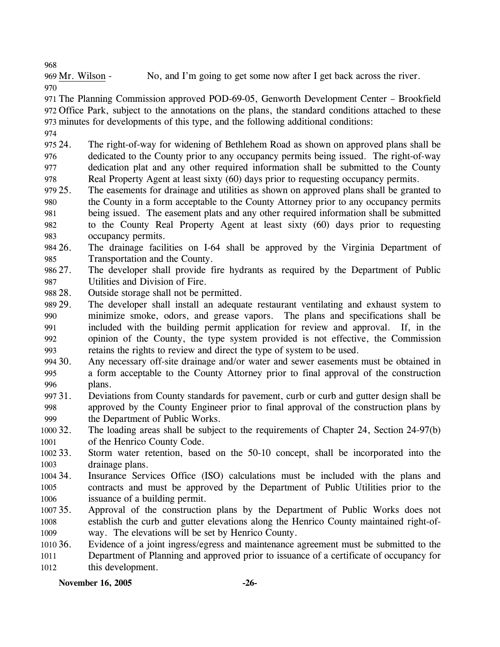968

969 Mr. Wilson - No, and I'm going to get some now after I get back across the river.

970

971 The Planning Commission approved POD-69-05, Genworth Development Center – Brookfield 972 Office Park, subject to the annotations on the plans, the standard conditions attached to these 973 minutes for developments of this type, and the following additional conditions:

974

975 24. 976 977 978 24. The right-of-way for widening of Bethlehem Road as shown on approved plans shall be dedicated to the County prior to any occupancy permits being issued. The right-of-way dedication plat and any other required information shall be submitted to the County Real Property Agent at least sixty (60) days prior to requesting occupancy permits.

979 25. 980 981 982 983 The easements for drainage and utilities as shown on approved plans shall be granted to the County in a form acceptable to the County Attorney prior to any occupancy permits being issued. The easement plats and any other required information shall be submitted to the County Real Property Agent at least sixty (60) days prior to requesting occupancy permits.

984 26. 985 The drainage facilities on I-64 shall be approved by the Virginia Department of Transportation and the County.

986 27. 987 The developer shall provide fire hydrants as required by the Department of Public Utilities and Division of Fire.

- 988 28. Outside storage shall not be permitted.
- 989 29. 990 991 992 993 The developer shall install an adequate restaurant ventilating and exhaust system to minimize smoke, odors, and grease vapors. The plans and specifications shall be included with the building permit application for review and approval. If, in the opinion of the County, the type system provided is not effective, the Commission retains the rights to review and direct the type of system to be used.
- 994 30. 995 996 Any necessary off-site drainage and/or water and sewer easements must be obtained in a form acceptable to the County Attorney prior to final approval of the construction plans.
- 997 31. 998 999 Deviations from County standards for pavement, curb or curb and gutter design shall be approved by the County Engineer prior to final approval of the construction plans by the Department of Public Works.
- 1000 32. 1001 The loading areas shall be subject to the requirements of Chapter 24, Section 24-97(b) of the Henrico County Code.
- 1002 33. 1003 Storm water retention, based on the 50-10 concept, shall be incorporated into the drainage plans.
- 1004 34. 1005 1006 Insurance Services Office (ISO) calculations must be included with the plans and contracts and must be approved by the Department of Public Utilities prior to the issuance of a building permit.
- 1007 35. 1008 1009 Approval of the construction plans by the Department of Public Works does not establish the curb and gutter elevations along the Henrico County maintained right-ofway. The elevations will be set by Henrico County.

1010 36. 1011 1012 Evidence of a joint ingress/egress and maintenance agreement must be submitted to the Department of Planning and approved prior to issuance of a certificate of occupancy for this development.

# **November 16, 2005 -26-**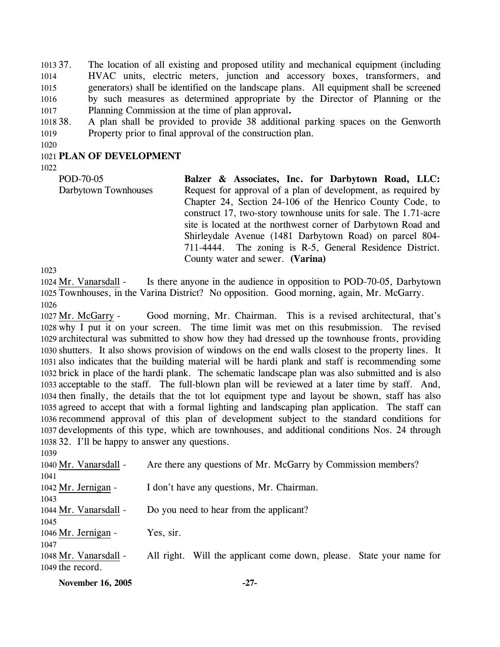1013 37. 1014 1015 1016 1017 37. The location of all existing and proposed utility and mechanical equipment (including HVAC units, electric meters, junction and accessory boxes, transformers, and generators) shall be identified on the landscape plans. All equipment shall be screened by such measures as determined appropriate by the Director of Planning or the Planning Commission at the time of plan approval**.**

1018 38. 1019 38. A plan shall be provided to provide 38 additional parking spaces on the Genworth Property prior to final approval of the construction plan.

1020

## 1021 **PLAN OF DEVELOPMENT**

1022

POD-70-05 Darbytown Townhouses **Balzer & Associates, Inc. for Darbytown Road, LLC:**  Request for approval of a plan of development, as required by Chapter 24, Section 24-106 of the Henrico County Code, to construct 17, two-story townhouse units for sale. The 1.71-acre site is located at the northwest corner of Darbytown Road and Shirleydale Avenue (1481 Darbytown Road) on parcel 804- 711-4444. The zoning is R-5, General Residence District. County water and sewer. **(Varina)**

1023

Is there anyone in the audience in opposition to POD-70-05, Darbytown 1025 Townhouses, in the Varina District? No opposition. Good morning, again, Mr. McGarry. 1024 Mr. Vanarsdall -1026

Good morning, Mr. Chairman. This is a revised architectural, that's 1028 why I put it on your screen. The time limit was met on this resubmission. The revised 1029 architectural was submitted to show how they had dressed up the townhouse fronts, providing 1030 shutters. It also shows provision of windows on the end walls closest to the property lines. It 1031 also indicates that the building material will be hardi plank and staff is recommending some 1032 brick in place of the hardi plank. The schematic landscape plan was also submitted and is also 1033 acceptable to the staff. The full-blown plan will be reviewed at a later time by staff. And, 1034 then finally, the details that the tot lot equipment type and layout be shown, staff has also 1035 agreed to accept that with a formal lighting and landscaping plan application. The staff can 1036 recommend approval of this plan of development subject to the standard conditions for 1037 developments of this type, which are townhouses, and additional conditions Nos. 24 through 1038 32. I'll be happy to answer any questions. 1027 Mr. McGarry -

| 1039                  |                                                                      |
|-----------------------|----------------------------------------------------------------------|
| 1040 Mr. Vanarsdall - | Are there any questions of Mr. McGarry by Commission members?        |
| 1041                  |                                                                      |
| 1042 Mr. Jernigan -   | I don't have any questions, Mr. Chairman.                            |
| 1043                  |                                                                      |
| 1044 Mr. Vanarsdall - | Do you need to hear from the applicant?                              |
| 1045                  |                                                                      |
| 1046 Mr. Jernigan -   | Yes, sir.                                                            |
| 1047                  |                                                                      |
| 1048 Mr. Vanarsdall - | All right. Will the applicant come down, please. State your name for |
| 1049 the record.      |                                                                      |
|                       |                                                                      |

**November 16, 2005** -27-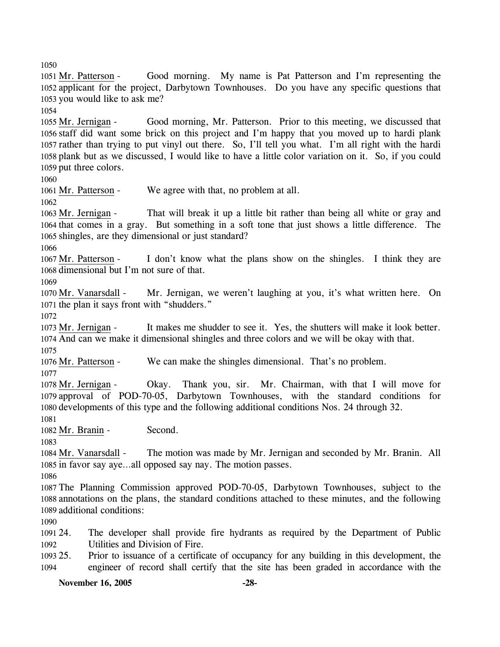1050

Good morning. My name is Pat Patterson and I'm representing the 1052 applicant for the project, Darbytown Townhouses. Do you have any specific questions that 1053 you would like to ask me? 1051 Mr. Patterson -

1054

Good morning, Mr. Patterson. Prior to this meeting, we discussed that 1056 staff did want some brick on this project and I'm happy that you moved up to hardi plank 1057 rather than trying to put vinyl out there. So, I'll tell you what. I'm all right with the hardi 1058 plank but as we discussed, I would like to have a little color variation on it. So, if you could 1059 put three colors. 1055 Mr. Jernigan -

1060

1061 Mr. Patterson - We agree with that, no problem at all.

1062

That will break it up a little bit rather than being all white or gray and 1064 that comes in a gray. But something in a soft tone that just shows a little difference. The 1065 shingles, are they dimensional or just standard? 1063 Mr. Jernigan -

1066

I don't know what the plans show on the shingles. I think they are 1068 dimensional but I'm not sure of that. 1067 Mr. Patterson -

1069

Mr. Jernigan, we weren't laughing at you, it's what written here. On 1071 the plan it says front with "shudders." 1070 Mr. Vanarsdall -

1072

It makes me shudder to see it. Yes, the shutters will make it look better. And can we make it dimensional shingles and three colors and we will be okay with that. 1074 1073 Mr. Jernigan -1075

1076 Mr. Patterson - We can make the shingles dimensional. That's no problem.

1077

Okay. Thank you, sir. Mr. Chairman, with that I will move for 1079 approval of POD-70-05, Darbytown Townhouses, with the standard conditions for 1080 developments of this type and the following additional conditions Nos. 24 through 32. 1078 Mr. Jernigan -

1081

1082 Mr. Branin - Second.

1083

The motion was made by Mr. Jernigan and seconded by Mr. Branin. All 1085 in favor say aye...all opposed say nay. The motion passes. 1084 Mr. Vanarsdall -

1086

1087 The Planning Commission approved POD-70-05, Darbytown Townhouses, subject to the 1088 annotations on the plans, the standard conditions attached to these minutes, and the following 1089 additional conditions:

1090

1091 24. 1092 The developer shall provide fire hydrants as required by the Department of Public Utilities and Division of Fire.

1093 25. 1094 25. Prior to issuance of a certificate of occupancy for any building in this development, the engineer of record shall certify that the site has been graded in accordance with the

**November 16, 2005 -28-**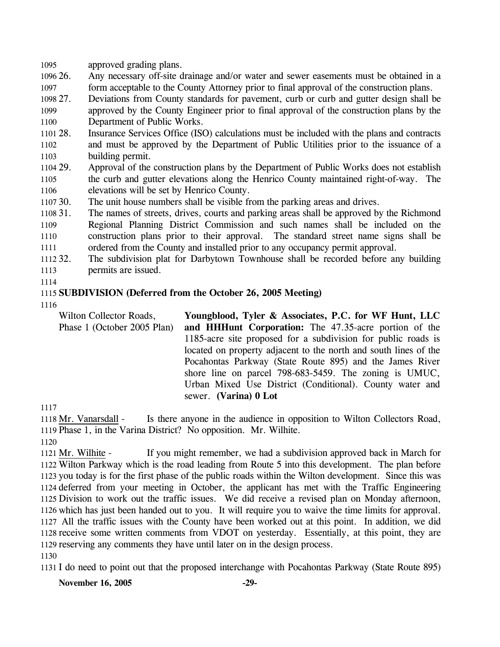1095 approved grading plans.

1096 26. 1097 Any necessary off-site drainage and/or water and sewer easements must be obtained in a form acceptable to the County Attorney prior to final approval of the construction plans.

- 1098 27. 1099 1100 Deviations from County standards for pavement, curb or curb and gutter design shall be approved by the County Engineer prior to final approval of the construction plans by the Department of Public Works.
- 1101 28. 1102 1103 Insurance Services Office (ISO) calculations must be included with the plans and contracts and must be approved by the Department of Public Utilities prior to the issuance of a building permit.
- 1104 29. 1105 1106 29. Approval of the construction plans by the Department of Public Works does not establish the curb and gutter elevations along the Henrico County maintained right-of-way. The elevations will be set by Henrico County.
- 1107 30. The unit house numbers shall be visible from the parking areas and drives.

1108 31. 1109 1110 1111 The names of streets, drives, courts and parking areas shall be approved by the Richmond Regional Planning District Commission and such names shall be included on the construction plans prior to their approval. The standard street name signs shall be ordered from the County and installed prior to any occupancy permit approval.

1112 32. 1113 The subdivision plat for Darbytown Townhouse shall be recorded before any building permits are issued.

1114

## 1115 **SUBDIVISION (Deferred from the October 26, 2005 Meeting)**

1116

Wilton Collector Roads, Phase 1 (October 2005 Plan) **Youngblood, Tyler & Associates, P.C. for WF Hunt, LLC and HHHunt Corporation:** The 47.35-acre portion of the 1185-acre site proposed for a subdivision for public roads is located on property adjacent to the north and south lines of the Pocahontas Parkway (State Route 895) and the James River shore line on parcel 798-683-5459. The zoning is UMUC, Urban Mixed Use District (Conditional). County water and sewer. **(Varina) 0 Lot** 

1117

Is there anyone in the audience in opposition to Wilton Collectors Road, 1119 Phase 1, in the Varina District? No opposition. Mr. Wilhite. 1118 Mr. Vanarsdall -

1120

If you might remember, we had a subdivision approved back in March for 1122 Wilton Parkway which is the road leading from Route 5 into this development. The plan before 1123 you today is for the first phase of the public roads within the Wilton development. Since this was 1124 deferred from your meeting in October, the applicant has met with the Traffic Engineering 1125 Division to work out the traffic issues. We did receive a revised plan on Monday afternoon, 1126 which has just been handed out to you. It will require you to waive the time limits for approval. All the traffic issues with the County have been worked out at this point. In addition, we did 1127 1128 receive some written comments from VDOT on yesterday. Essentially, at this point, they are 1129 reserving any comments they have until later on in the design process. 1121 Mr. Wilhite -1130

1131 I do need to point out that the proposed interchange with Pocahontas Parkway (State Route 895)

**November 16, 2005** -29-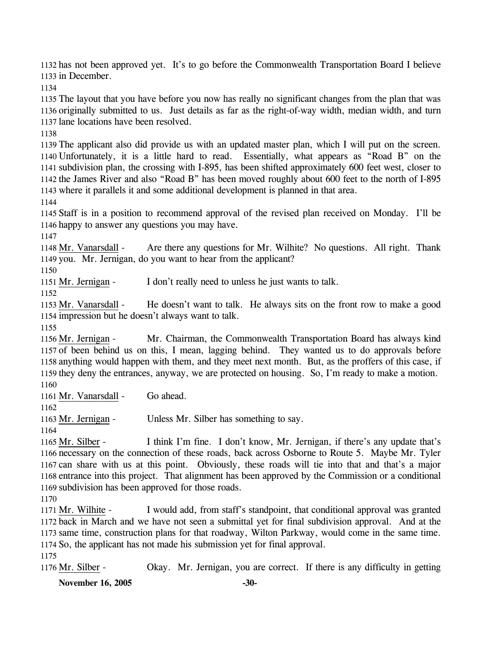1132 has not been approved yet. It's to go before the Commonwealth Transportation Board I believe 1133 in December.

1134

1135 The layout that you have before you now has really no significant changes from the plan that was 1136 originally submitted to us. Just details as far as the right-of-way width, median width, and turn 1137 lane locations have been resolved.

1138

 The applicant also did provide us with an updated master plan, which I will put on the screen. Unfortunately, it is a little hard to read. Essentially, what appears as "Road B" on the subdivision plan, the crossing with I-895, has been shifted approximately 600 feet west, closer to the James River and also "Road B" has been moved roughly about 600 feet to the north of I-895 where it parallels it and some additional development is planned in that area.

1144

1145 Staff is in a position to recommend approval of the revised plan received on Monday. I'll be 1146 happy to answer any questions you may have.

1147

Are there any questions for Mr. Wilhite? No questions. All right. Thank 1149 you. Mr. Jernigan, do you want to hear from the applicant? 1148 Mr. Vanarsdall -

1150

1151 Mr. Jernigan - I don't really need to unless he just wants to talk.

1152

He doesn't want to talk. He always sits on the front row to make a good 1154 impression but he doesn't always want to talk. 1153 Mr. Vanarsdall -

1155

Mr. Chairman, the Commonwealth Transportation Board has always kind 1157 of been behind us on this, I mean, lagging behind. They wanted us to do approvals before 1158 anything would happen with them, and they meet next month. But, as the proffers of this case, if 1159 they deny the entrances, anyway, we are protected on housing. So, I'm ready to make a motion. 1156 Mr. Jernigan -1160

1161 Mr. Vanarsdall - Go ahead.

1162

1163 Mr. Jernigan - Unless Mr. Silber has something to say.

1164

I think I'm fine. I don't know, Mr. Jernigan, if there's any update that's 1166 necessary on the connection of these roads, back across Osborne to Route 5. Maybe Mr. Tyler 1167 can share with us at this point. Obviously, these roads will tie into that and that's a major 1168 entrance into this project. That alignment has been approved by the Commission or a conditional 1169 subdivision has been approved for those roads. 1165 Mr. Silber -

1170

I would add, from staff's standpoint, that conditional approval was granted 1172 back in March and we have not seen a submittal yet for final subdivision approval. And at the 1173 same time, construction plans for that roadway, Wilton Parkway, would come in the same time. 1174 So, the applicant has not made his submission yet for final approval. 1171 Mr. Wilhite -1175

1176 Mr. Silber - Okay. Mr. Jernigan, you are correct. If there is any difficulty in getting

**November 16, 2005** -30-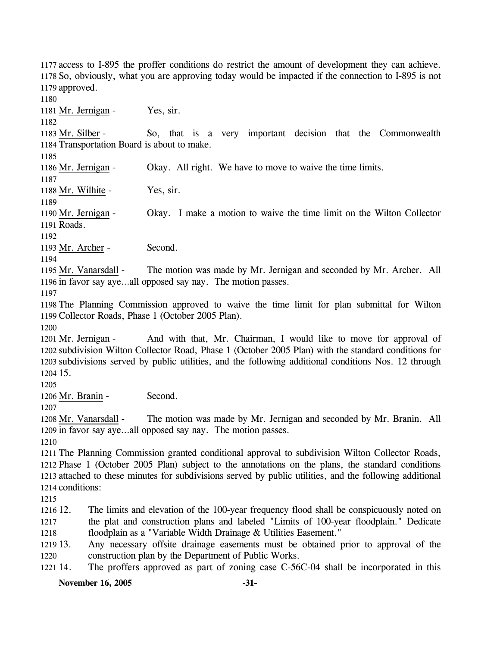1177 access to I-895 the proffer conditions do restrict the amount of development they can achieve. 1178 So, obviously, what you are approving today would be impacted if the connection to I-895 is not 1179 approved.

**November 16, 2005** -31-1180 1181 Mr. Jernigan - Yes, sir. 1182 So, that is a very important decision that the Commonwealth 1184 Transportation Board is about to make. 1183 Mr. Silber -1185 1186 Mr. Jernigan - Okay. All right. We have to move to waive the time limits. 1187 1188 Mr. Wilhite - Yes, sir. 1189 Okay. I make a motion to waive the time limit on the Wilton Collector Roads. 1191 1190 Mr. Jernigan -1192 1193 Mr. Archer - Second. 1194 The motion was made by Mr. Jernigan and seconded by Mr. Archer. All 1196 in favor say aye...all opposed say nay. The motion passes. 1195 Mr. Vanarsdall -1197 1198 The Planning Commission approved to waive the time limit for plan submittal for Wilton 1199 Collector Roads, Phase 1 (October 2005 Plan). 1200 And with that, Mr. Chairman, I would like to move for approval of 1202 subdivision Wilton Collector Road, Phase 1 (October 2005 Plan) with the standard conditions for 1203 subdivisions served by public utilities, and the following additional conditions Nos. 12 through 1204 15. 1201 Mr. Jernigan -1205 1206 Mr. Branin - Second. 1207 The motion was made by Mr. Jernigan and seconded by Mr. Branin. All 1209 in favor say aye...all opposed say nay. The motion passes. 1208 Mr. Vanarsdall -1210 1211 The Planning Commission granted conditional approval to subdivision Wilton Collector Roads, 1212 Phase 1 (October 2005 Plan) subject to the annotations on the plans, the standard conditions 1213 attached to these minutes for subdivisions served by public utilities, and the following additional 1214 conditions: 1215 1216 12. 1217 1218 1219 13. 1220 1221 14. The limits and elevation of the 100-year frequency flood shall be conspicuously noted on the plat and construction plans and labeled "Limits of 100-year floodplain." Dedicate floodplain as a "Variable Width Drainage & Utilities Easement." Any necessary offsite drainage easements must be obtained prior to approval of the construction plan by the Department of Public Works. The proffers approved as part of zoning case C-56C-04 shall be incorporated in this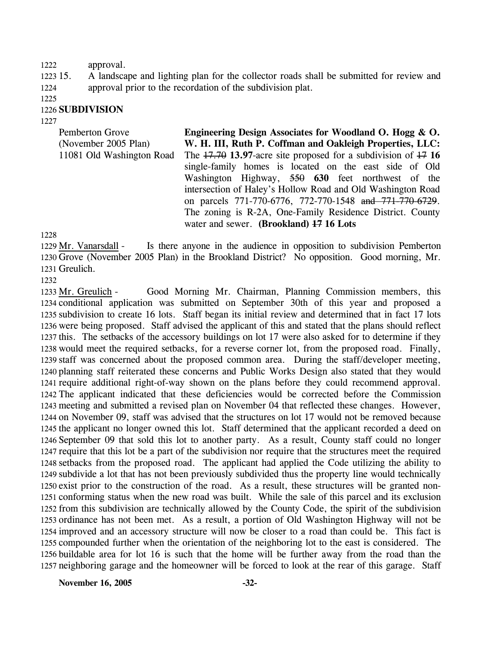#### 1222 approval.

1223 15. 1224 15. A landscape and lighting plan for the collector roads shall be submitted for review and approval prior to the recordation of the subdivision plat.

1225

## 1226 **SUBDIVISION**

1227

| Pemberton Grove           | Engineering Design Associates for Woodland O. Hogg & O.           |
|---------------------------|-------------------------------------------------------------------|
| (November 2005 Plan)      | W. H. III, Ruth P. Coffman and Oakleigh Properties, LLC:          |
| 11081 Old Washington Road | The $17.70$ 13.97-acre site proposed for a subdivision of $17.16$ |
|                           | single-family homes is located on the east side of Old            |
|                           | Washington Highway, 550 630 feet northwest of the                 |
|                           | intersection of Haley's Hollow Road and Old Washington Road       |
|                           | on parcels 771-770-6776, 772-770-1548 and 771-770-6729.           |
|                           | The zoning is R-2A, One-Family Residence District. County         |
|                           | water and sewer. (Brookland) 47 16 Lots                           |
| 1228                      |                                                                   |

Is there anyone in the audience in opposition to subdivision Pemberton 1230 Grove (November 2005 Plan) in the Brookland District? No opposition. Good morning, Mr. 1231 Greulich. 1229 Mr. Vanarsdall -

1232

Good Morning Mr. Chairman, Planning Commission members, this 1234 conditional application was submitted on September 30th of this year and proposed a 1235 subdivision to create 16 lots. Staff began its initial review and determined that in fact 17 lots 1236 were being proposed. Staff advised the applicant of this and stated that the plans should reflect 1237 this. The setbacks of the accessory buildings on lot 17 were also asked for to determine if they 1238 would meet the required setbacks, for a reverse corner lot, from the proposed road. Finally, 1239 staff was concerned about the proposed common area. During the staff/developer meeting, 1240 planning staff reiterated these concerns and Public Works Design also stated that they would 1241 require additional right-of-way shown on the plans before they could recommend approval. 1242 The applicant indicated that these deficiencies would be corrected before the Commission 1243 meeting and submitted a revised plan on November 04 that reflected these changes. However, 1244 on November 09, staff was advised that the structures on lot 17 would not be removed because 1245 the applicant no longer owned this lot. Staff determined that the applicant recorded a deed on 1246 September 09 that sold this lot to another party. As a result, County staff could no longer 1247 require that this lot be a part of the subdivision nor require that the structures meet the required 1248 setbacks from the proposed road. The applicant had applied the Code utilizing the ability to 1249 subdivide a lot that has not been previously subdivided thus the property line would technically 1250 exist prior to the construction of the road. As a result, these structures will be granted non-1251 conforming status when the new road was built. While the sale of this parcel and its exclusion 1252 from this subdivision are technically allowed by the County Code, the spirit of the subdivision 1253 ordinance has not been met. As a result, a portion of Old Washington Highway will not be 1254 improved and an accessory structure will now be closer to a road than could be. This fact is 1255 compounded further when the orientation of the neighboring lot to the east is considered. The 1256 buildable area for lot 16 is such that the home will be further away from the road than the 1257 neighboring garage and the homeowner will be forced to look at the rear of this garage. Staff 1233 Mr. Greulich -

**November 16, 2005** -32-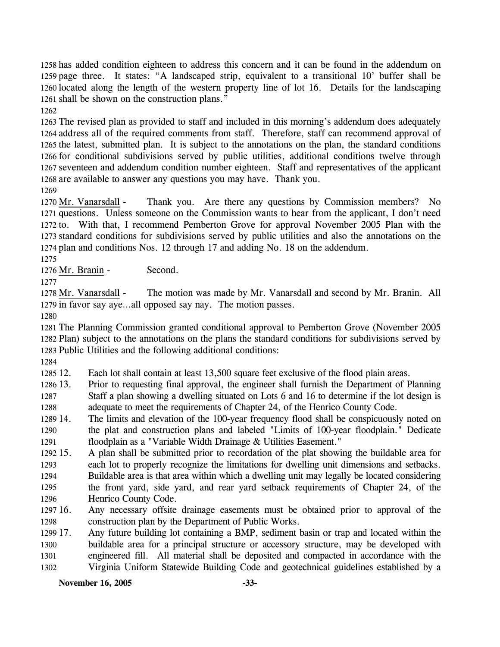has added condition eighteen to address this concern and it can be found in the addendum on page three. It states: "A landscaped strip, equivalent to a transitional 10' buffer shall be located along the length of the western property line of lot 16. Details for the landscaping shall be shown on the construction plans."

1262

 The revised plan as provided to staff and included in this morning's addendum does adequately address all of the required comments from staff. Therefore, staff can recommend approval of the latest, submitted plan. It is subject to the annotations on the plan, the standard conditions for conditional subdivisions served by public utilities, additional conditions twelve through seventeen and addendum condition number eighteen. Staff and representatives of the applicant are available to answer any questions you may have. Thank you.

1269

Thank you. Are there any questions by Commission members? No 1271 questions. Unless someone on the Commission wants to hear from the applicant, I don't need 1272 to. With that, I recommend Pemberton Grove for approval November 2005 Plan with the 1273 standard conditions for subdivisions served by public utilities and also the annotations on the 1274 plan and conditions Nos. 12 through 17 and adding No. 18 on the addendum. 1270 Mr. Vanarsdall -

1275

1276 Mr. Branin - Second.

1277

The motion was made by Mr. Vanarsdall and second by Mr. Branin. All 1279 in favor say aye...all opposed say nay. The motion passes. 1278 Mr. Vanarsdall -

1280

1281 The Planning Commission granted conditional approval to Pemberton Grove (November 2005 1282 Plan) subject to the annotations on the plans the standard conditions for subdivisions served by 1283 Public Utilities and the following additional conditions:

1284

1285 12. Each lot shall contain at least 13,500 square feet exclusive of the flood plain areas.

- 1286 13. 1287 1288 13. Prior to requesting final approval, the engineer shall furnish the Department of Planning Staff a plan showing a dwelling situated on Lots 6 and 16 to determine if the lot design is adequate to meet the requirements of Chapter 24, of the Henrico County Code.
- 1289 14. 1290 1291 The limits and elevation of the 100-year frequency flood shall be conspicuously noted on the plat and construction plans and labeled "Limits of 100-year floodplain." Dedicate floodplain as a "Variable Width Drainage & Utilities Easement."
- 1292 15. 1293 1294 15. A plan shall be submitted prior to recordation of the plat showing the buildable area for each lot to properly recognize the limitations for dwelling unit dimensions and setbacks. Buildable area is that area within which a dwelling unit may legally be located considering
- 1295 1296 the front yard, side yard, and rear yard setback requirements of Chapter 24, of the Henrico County Code.
- 1297 16. 1298 Any necessary offsite drainage easements must be obtained prior to approval of the construction plan by the Department of Public Works.

1299 17. 1300 1301 1302 Any future building lot containing a BMP, sediment basin or trap and located within the buildable area for a principal structure or accessory structure, may be developed with engineered fill. All material shall be deposited and compacted in accordance with the Virginia Uniform Statewide Building Code and geotechnical guidelines established by a

## **November 16, 2005** -33-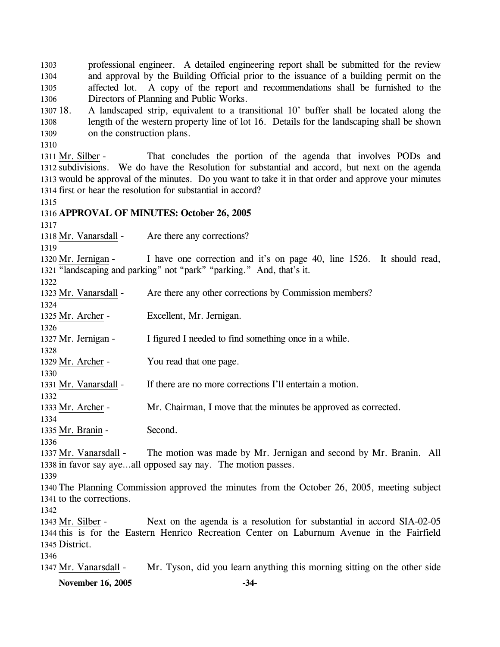**November 16, 2005 -34-** 1303 1304 1305 1306 1307 18 1308 1309 1310 professional engineer. A detailed engineering report shall be submitted for the review and approval by the Building Official prior to the issuance of a building permit on the affected lot. A copy of the report and recommendations shall be furnished to the Directors of Planning and Public Works. 18. A landscaped strip, equivalent to a transitional 10' buffer shall be located along the length of the western property line of lot 16. Details for the landscaping shall be shown on the construction plans. That concludes the portion of the agenda that involves PODs and 1312 subdivisions. We do have the Resolution for substantial and accord, but next on the agenda 1313 would be approval of the minutes. Do you want to take it in that order and approve your minutes 1314 first or hear the resolution for substantial in accord? 1311 Mr. Silber -1315 1316 **APPROVAL OF MINUTES: October 26, 2005**  1317 1318 Mr. Vanarsdall - Are there any corrections? 1319 I have one correction and it's on page 40, line 1526. It should read, 1321 "landscaping and parking" not "park" "parking." And, that's it. 1320 Mr. Jernigan -1322 1323 Mr. Vanarsdall - Are there any other corrections by Commission members? 1324 1325 Mr. Archer - Excellent, Mr. Jernigan. 1326 1327 Mr. Jernigan - I figured I needed to find something once in a while. 1328 1329 Mr. Archer - You read that one page. 1330 1331 Mr. Vanarsdall - If there are no more corrections I'll entertain a motion. 1332 1333 Mr. Archer - Mr. Chairman, I move that the minutes be approved as corrected. 1334 1335 Mr. Branin - Second. 1336 The motion was made by Mr. Jernigan and second by Mr. Branin. All 1338 in favor say aye...all opposed say nay. The motion passes. 1337 Mr. Vanarsdall -1339 1340 The Planning Commission approved the minutes from the October 26, 2005, meeting subject 1341 to the corrections. 1342 Next on the agenda is a resolution for substantial in accord SIA-02-05 1344 this is for the Eastern Henrico Recreation Center on Laburnum Avenue in the Fairfield District. 1345 1343 Mr. Silber -1346 1347 Mr. Vanarsdall - Mr. Tyson, did you learn anything this morning sitting on the other side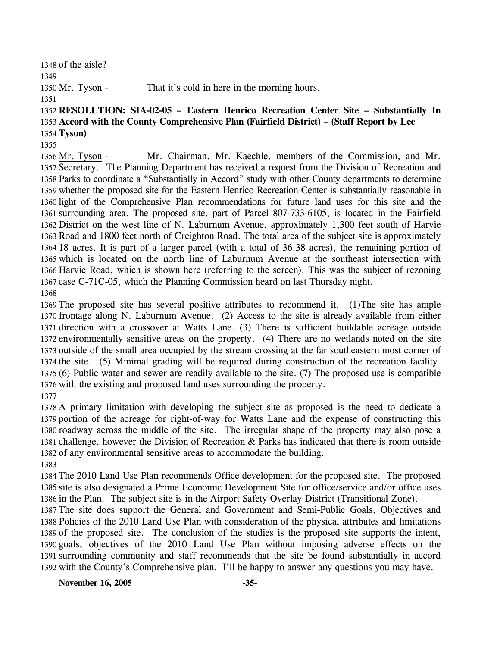of the aisle?

1350 Mr. Tyson - That it's cold in here in the morning hours.

 **RESOLUTION: SIA-02-05 – Eastern Henrico Recreation Center Site – Substantially In Accord with the County Comprehensive Plan (Fairfield District) – (Staff Report by Lee Tyson)** 

Mr. Chairman, Mr. Kaechle, members of the Commission, and Mr. 1357 Secretary. The Planning Department has received a request from the Division of Recreation and 1358 Parks to coordinate a "Substantially in Accord" study with other County departments to determine 1359 whether the proposed site for the Eastern Henrico Recreation Center is substantially reasonable in 1360 light of the Comprehensive Plan recommendations for future land uses for this site and the 1361 surrounding area. The proposed site, part of Parcel 807-733-6105, is located in the Fairfield 1362 District on the west line of N. Laburnum Avenue, approximately 1,300 feet south of Harvie 1363 Road and 1800 feet north of Creighton Road. The total area of the subject site is approximately 1364 18 acres. It is part of a larger parcel (with a total of 36.38 acres), the remaining portion of 1365 which is located on the north line of Laburnum Avenue at the southeast intersection with 1366 Harvie Road, which is shown here (referring to the screen). This was the subject of rezoning 1367 case C-71C-05, which the Planning Commission heard on last Thursday night. 1356 Mr. Tyson -

 The proposed site has several positive attributes to recommend it. (1)The site has ample frontage along N. Laburnum Avenue. (2) Access to the site is already available from either direction with a crossover at Watts Lane. (3) There is sufficient buildable acreage outside environmentally sensitive areas on the property. (4) There are no wetlands noted on the site outside of the small area occupied by the stream crossing at the far southeastern most corner of the site. (5) Minimal grading will be required during construction of the recreation facility. (6) Public water and sewer are readily available to the site. (7) The proposed use is compatible with the existing and proposed land uses surrounding the property. 

 A primary limitation with developing the subject site as proposed is the need to dedicate a portion of the acreage for right-of-way for Watts Lane and the expense of constructing this roadway across the middle of the site. The irregular shape of the property may also pose a challenge, however the Division of Recreation & Parks has indicated that there is room outside of any environmental sensitive areas to accommodate the building. 

 The 2010 Land Use Plan recommends Office development for the proposed site. The proposed site is also designated a Prime Economic Development Site for office/service and/or office uses in the Plan. The subject site is in the Airport Safety Overlay District (Transitional Zone).

 The site does support the General and Government and Semi-Public Goals, Objectives and Policies of the 2010 Land Use Plan with consideration of the physical attributes and limitations of the proposed site. The conclusion of the studies is the proposed site supports the intent, goals, objectives of the 2010 Land Use Plan without imposing adverse effects on the surrounding community and staff recommends that the site be found substantially in accord with the County's Comprehensive plan. I'll be happy to answer any questions you may have.

**November 16, 2005 -35-**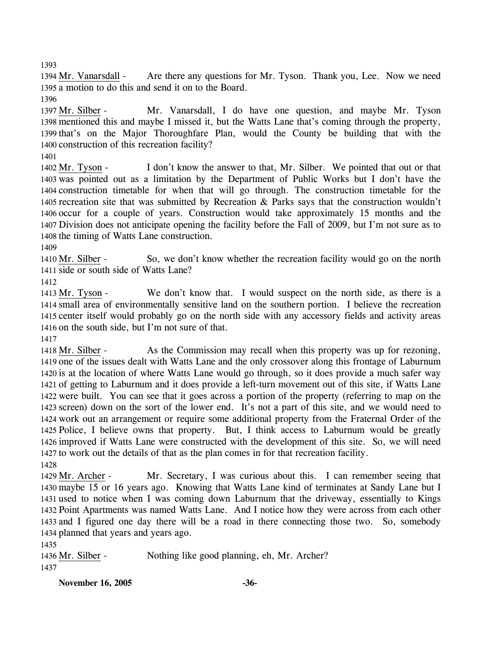1393

Are there any questions for Mr. Tyson. Thank you, Lee. Now we need 1395 a motion to do this and send it on to the Board. 1394 Mr. Vanarsdall -

1396

Mr. Vanarsdall, I do have one question, and maybe Mr. Tyson 1398 mentioned this and maybe I missed it, but the Watts Lane that's coming through the property, 1399 that's on the Major Thoroughfare Plan, would the County be building that with the 1400 construction of this recreation facility? 1397 Mr. Silber -

1401

I don't know the answer to that, Mr. Silber. We pointed that out or that 1403 was pointed out as a limitation by the Department of Public Works but I don't have the 1404 construction timetable for when that will go through. The construction timetable for the 1405 recreation site that was submitted by Recreation  $\&$  Parks says that the construction wouldn't 1406 occur for a couple of years. Construction would take approximately 15 months and the 1407 Division does not anticipate opening the facility before the Fall of 2009, but I'm not sure as to 1408 the timing of Watts Lane construction. 1402 Mr. Tyson -

1409

So, we don't know whether the recreation facility would go on the north 1411 side or south side of Watts Lane? 1410 Mr. Silber -

1412

We don't know that. I would suspect on the north side, as there is a 1414 small area of environmentally sensitive land on the southern portion. I believe the recreation 1415 center itself would probably go on the north side with any accessory fields and activity areas 1416 on the south side, but I'm not sure of that. 1413 Mr. Tyson -

1417

As the Commission may recall when this property was up for rezoning, 1419 one of the issues dealt with Watts Lane and the only crossover along this frontage of Laburnum 1420 is at the location of where Watts Lane would go through, so it does provide a much safer way 1421 of getting to Laburnum and it does provide a left-turn movement out of this site, if Watts Lane 1422 were built. You can see that it goes across a portion of the property (referring to map on the 1423 screen) down on the sort of the lower end. It's not a part of this site, and we would need to 1424 work out an arrangement or require some additional property from the Fraternal Order of the 1425 Police, I believe owns that property. But, I think access to Laburnum would be greatly 1426 improved if Watts Lane were constructed with the development of this site. So, we will need 1427 to work out the details of that as the plan comes in for that recreation facility. 1418 Mr. Silber -1428

Mr. Secretary, I was curious about this. I can remember seeing that 1430 maybe 15 or 16 years ago. Knowing that Watts Lane kind of terminates at Sandy Lane but I 1431 used to notice when I was coming down Laburnum that the driveway, essentially to Kings 1432 Point Apartments was named Watts Lane. And I notice how they were across from each other 1433 and I figured one day there will be a road in there connecting those two. So, somebody 1434 planned that years and years ago. 1429 Mr. Archer -

1435

1436 Mr. Silber - Nothing like good planning, eh, Mr. Archer? 1437

**November 16, 2005 -36-**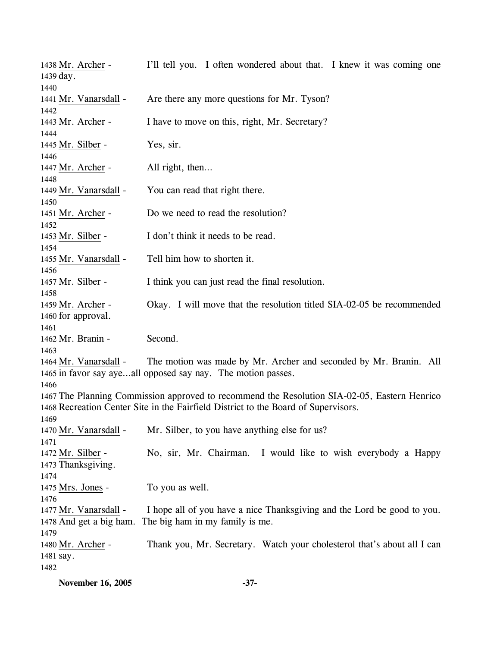| 1438 Mr. Archer -             | I'll tell you. I often wondered about that. I knew it was coming one                         |
|-------------------------------|----------------------------------------------------------------------------------------------|
| 1439 day.                     |                                                                                              |
| 1440                          |                                                                                              |
| 1441 Mr. Vanarsdall -         | Are there any more questions for Mr. Tyson?                                                  |
| 1442                          |                                                                                              |
| 1443 Mr. Archer -             | I have to move on this, right, Mr. Secretary?                                                |
| 1444                          |                                                                                              |
| 1445 Mr. Silber -             | Yes, sir.                                                                                    |
| 1446                          |                                                                                              |
| 1447 Mr. Archer -             | All right, then                                                                              |
| 1448                          |                                                                                              |
| 1449 Mr. Vanarsdall -         | You can read that right there.                                                               |
| 1450                          |                                                                                              |
| 1451 Mr. Archer -             | Do we need to read the resolution?                                                           |
| 1452                          |                                                                                              |
| 1453 Mr. Silber -             | I don't think it needs to be read.                                                           |
| 1454                          |                                                                                              |
| 1455 Mr. Vanarsdall -         | Tell him how to shorten it.                                                                  |
| 1456                          |                                                                                              |
| 1457 Mr. Silber -             | I think you can just read the final resolution.                                              |
| 1458                          |                                                                                              |
| 1459 Mr. Archer -             | Okay. I will move that the resolution titled SIA-02-05 be recommended                        |
| 1460 for approval.            |                                                                                              |
| 1461                          |                                                                                              |
| 1462 Mr. Branin -             | Second.                                                                                      |
| 1463                          |                                                                                              |
| 1464 Mr. Vanarsdall -         | The motion was made by Mr. Archer and seconded by Mr. Branin. All                            |
|                               | 1465 in favor say ayeall opposed say nay. The motion passes.                                 |
| 1466                          |                                                                                              |
|                               | 1467 The Planning Commission approved to recommend the Resolution SIA-02-05, Eastern Henrico |
|                               | 1468 Recreation Center Site in the Fairfield District to the Board of Supervisors.           |
|                               |                                                                                              |
| 1469<br>1470 Mr. Vanarsdall - | Mr. Silber, to you have anything else for us?                                                |
|                               |                                                                                              |
| 1471                          |                                                                                              |
| 1472 Mr. Silber -             | No, sir, Mr. Chairman.<br>I would like to wish everybody a Happy                             |
| 1473 Thanksgiving.            |                                                                                              |
| 1474                          |                                                                                              |
| 1475 Mrs. Jones -             | To you as well.                                                                              |
| 1476                          |                                                                                              |
| 1477 Mr. Vanarsdall -         | I hope all of you have a nice Thanksgiving and the Lord be good to you.                      |
| 1478 And get a big ham.       | The big ham in my family is me.                                                              |
| 1479                          |                                                                                              |
| 1480 Mr. Archer -             | Thank you, Mr. Secretary. Watch your cholesterol that's about all I can                      |
| 1481 say.                     |                                                                                              |
| 1482                          |                                                                                              |
|                               |                                                                                              |

**November 16, 2005** -37-